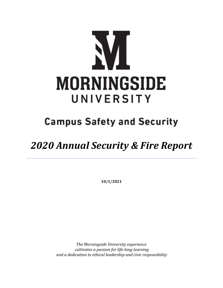

## **Campus Safety and Security**

## *2020 Annual Security & Fire Report*

**10/1/2021**

*The Morningside University experience cultivates a passion for life-long learning and a dedication to ethical leadership and civic responsibility*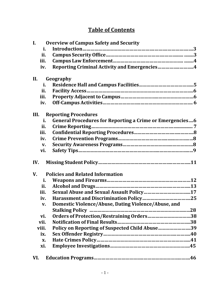## **Table of Contents**

| $\mathbf{I}$ . | <b>Overview of Campus Safety and Security</b>                         |  |
|----------------|-----------------------------------------------------------------------|--|
|                | i.                                                                    |  |
| ii.            |                                                                       |  |
| iii.           |                                                                       |  |
| iv.            | Reporting Criminal Activity and Emergencies4                          |  |
| II.            | Geography                                                             |  |
|                | i.                                                                    |  |
| ii.            |                                                                       |  |
| iii.           |                                                                       |  |
|                | iv.                                                                   |  |
| III.           | <b>Reporting Procedures</b>                                           |  |
|                | <b>General Procedures for Reporting a Crime or Emergencies6</b><br>i. |  |
| ii.            |                                                                       |  |
| iii.           |                                                                       |  |
| iv.            |                                                                       |  |
|                | $V_{\cdot}$                                                           |  |
| vi.            |                                                                       |  |
| IV.            |                                                                       |  |
| V.             | <b>Policies and Related Information</b>                               |  |
|                | i.                                                                    |  |
| ii.            |                                                                       |  |
| iii.           |                                                                       |  |
|                | iv.                                                                   |  |
|                | Domestic Violence/Abuse, Dating Violence/Abuse, and<br>$V_{\bullet}$  |  |
|                |                                                                       |  |
| vi.            | Orders of Protection/Restraining Orders38                             |  |
| vii.           |                                                                       |  |
| viii.          | Policy on Reporting of Suspected Child Abuse39                        |  |
| ix.            |                                                                       |  |
|                | X.                                                                    |  |
| xi.            |                                                                       |  |
| VI.            |                                                                       |  |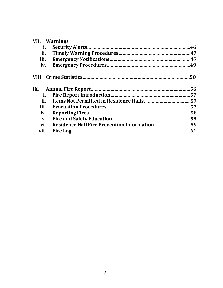|      | <b>VII.</b> Warnings |  |
|------|----------------------|--|
| i.   |                      |  |
| ii.  |                      |  |
| iii. |                      |  |
| iv.  |                      |  |
|      |                      |  |
|      |                      |  |
| i.   |                      |  |
| ii.  |                      |  |
| iii. |                      |  |
| iv.  |                      |  |
| V.   |                      |  |
| vi.  |                      |  |
| vii. |                      |  |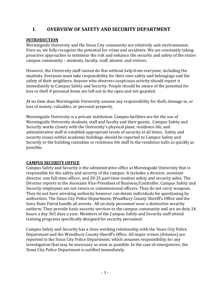## **I. OVERVIEW OF SAFETY AND SECURITY DEPARTMENT**

#### **INTRODUCTION**

Morningside University and the Sioux City community are relatively safe environments. Even so, we fully recognize the potential for crime and accidents. We are constantly taking proactive approaches to minimize the risk and enhance the security and safety of the entire campus community – students, faculty, staff, alumni, and visitors.

However, the University staff cannot do this without help from everyone, including the students. Everyone must take responsibility for their own safety and belongings and the safety of their neighbors. Anyone who observes suspicious activity should report it immediately to Campus Safety and Security. People should be aware of the potential for loss or theft if personal items are left out in the open and not guarded.

At no time does Morningside University assume any responsibility for theft, damage to, or loss of money, valuables, or personal property.

Morningside University is a private institution. Campus facilities are for the use of Morningside University students, staff and faculty and their guests. Campus Safety and Security works closely with the University's physical plant, residence life, and administrative staff to establish appropriate levels of security at all times. Safety and security issues within academic buildings should be reported to Campus Safety and Security or the building custodian or residence life staff in the residence halls as quickly as possible.

#### **CAMPUS SECURITY OFFICE**

Campus Safety and Security is the administrative office at Morningside University that is responsible for the safety and security of the campus. It includes a director, assistant director, one full-time officer, and 20-25 part-time student safety and security aides. The Director reports to the Associate Vice-President of Business/Controller. Campus Safety and Security employees are not sworn or commissioned officers. They do not carry weapons. They do not have arresting authority however can detain individuals for questioning by authorities. The Sioux City Police Department, Woodbury County Sheriff's Office and the Iowa State Patrol handle all arrests. All on-duty personnel wear a distinctive security uniform. They provide basic security services to the campus community and are on duty 24 hours a day 365 days a year. Members of the Campus Safety and Security staff attend training programs specifically designed for security personnel.

Campus Safety and Security has a close working relationship with the Sioux City Police Department and the Woodbury County Sheriff's Office. All major crimes (felonies) are reported to the Sioux City Police Department, which assumes responsibility for any investigation that may be necessary as soon as possible. In the case of emergencies, the Sioux City Police Department is notified immediately.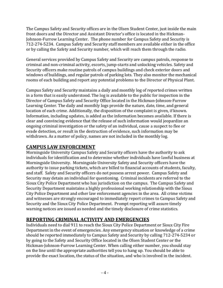The Campus Safety and Security offices are in the Olsen Student Center, just inside the main front doors and the Director and Assistant Director's office is located in the Hickman-Johnson-Furrow Learning Center. The phone number for Campus Safety and Security is 712-274-5234. Campus Safety and Security staff members are available either in the office or by calling the Safety and Security number, which will reach them through the radio.

General services provided by Campus Safety and Security are campus patrols, response to criminal and non-criminal activity, escorts, jump-starts and unlocking vehicles. Safety and Security officers make routine patrols of campus buildings and check exterior doors and windows of buildings, and regular patrols of parking lots. They also monitor the mechanical rooms of each building and report any potential problems to the Director of Physical Plant.

Campus Safety and Security maintains a daily and monthly log of reported crimes written in a form that is easily understood. The log is available to the public for inspection in the Director of Campus Safety and Security Office located in the Hickman-Johnson-Furrow Learning Center. The daily and monthly logs provide the nature, date, time, and general location of each crime. Additionally, the disposition of the complaint is given, if known. Information, including updates, is added as the information becomes available. If there is clear and convincing evidence that the release of such information would jeopardize an ongoing criminal investigation or the safety of an individual, cause a suspect to flee or evade detection, or result in the destruction of evidence, such information may be withdrawn. As a matter of policy, names are not included in the monthly log.

## **CAMPUS LAW ENFORCEMENT**

Morningside University Campus Safety and Security officers have the authority to ask individuals for identification and to determine whether individuals have lawful business at Morningside University. Morningside University Safety and Security officers have the authority to issue parking tickets, which are billed to financial accounts of students, faculty, and staff. Safety and Security officers do not possess arrest power. Campus Safety and Security may detain an individual for questioning. Criminal incidents are referred to the Sioux City Police Department who has jurisdiction on the campus. The Campus Safety and Security Department maintains a highly professional working relationship with the Sioux City Police Department and other law enforcement agencies in the area. All crime victims and witnesses are strongly encouraged to immediately report crimes to Campus Safety and Security and the Sioux City Police Department. Prompt reporting will assure timely warning notices are issued as needed and the timely disclosure of crime statistics.

## **REPORTING CRIMINAL ACTIVITY AND EMERGENCIES**

Individuals need to dial 911 to reach the Sioux City Police Department or Sioux City Fire Department in the event of emergencies. Any emergency situation or knowledge of a crime should be reported immediately to Campus Safety and Security by calling 712-274-5234 or by going to the Safety and Security Office located in the Olsen Student Center or the Hickman-Johnson-Furrow Learning Center. When calling either number, you should stay on the line until the appropriate authorities tell you to hang up. You should be able to provide the exact location, the status of the situation, and who is involved in the incident.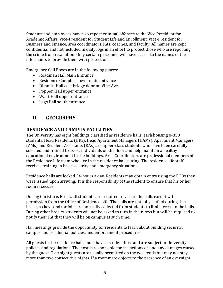Students and employees may also report criminal offenses to the Vice President for Academic Affairs, Vice-President for Student Life and Enrollment, Vice-President for Business and Finance, area coordinators, RAs, coaches, and faculty. All names are kept confidential and not included in daily logs in an effort to protect those who are reporting the crime from retaliation. Only certain personnel will have access to the names of the informants to provide them with protection.

Emergency Call Boxes are in the following places:

- Roadman Hall Main Entrance
- Residence Complex, lower main entrance
- Dimmitt Hall east bridge door on Vine Ave.
- Poppen Hall upper entrance
- Waitt Hall upper entrance
- Lags Hall south entrance

## **II. GEOGRAPHY**

#### **RESIDENCE AND CAMPUS FACILITIES**

The University has eight buildings classified as residence halls, each housing 8-350 students. Head Residents (HRs), Head Apartment Managers (HAMs), Apartment Managers (AMs) and Resident Assistants (RAs) are upper-class students who have been carefully selected and trained to assist individuals on the floor and help maintain a healthy educational environment in the buildings. Area Coordinators are professional members of the Residence Life team who live in the residence hall setting. The residence life staff receives training in basic security and emergency situations.

Residence halls are locked 24-hours a day. Residents may obtain entry using the FOBs they were issued upon arriving. It is the responsibility of the student to ensure that his or her room is secure.

During Christmas Break, all students are required to vacate the halls except with permission from the Office of Residence Life. The halls are not fully staffed during this break, so keys and/or fobs are normally collected from students to limit access to the halls. During other breaks, students will not be asked to turn in their keys but will be required to notify their RA that they will be on campus at such time.

Hall meetings provide the opportunity for residents to learn about building security, campus and residential policies, and enforcement procedures.

All guests in the residence halls must have a student host and are subject to University policies and regulations. The host is responsible for the actions of, and any damages caused by the guest. Overnight guests are usually permitted on the weekends but may not stay more than two consecutive nights. If a roommate objects to the presence of an overnight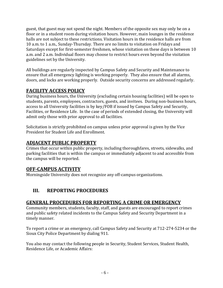guest, that guest may not spend the night. Members of the opposite sex may only be on a floor or in a student room during visitation hours. However, main lounges in the residence halls are not subject to these restrictions. Visitation hours in the residence halls are from 10 a.m. to 1 a.m., Sunday-Thursday. There are no limits to visitation on Fridays and Saturdays except for first-semester freshmen, whose visitation on these days is between 10 a.m. and 2 a.m. Individual floors may choose to restrict hours even beyond the visitation guidelines set by the University.

All buildings are regularly inspected by Campus Safety and Security and Maintenance to ensure that all emergency lighting is working properly. They also ensure that all alarms, doors, and locks are working properly. Outside security concerns are addressed regularly.

## **FACILITY ACCESS POLICY**

During business hours, the University (excluding certain housing facilities) will be open to students, parents, employees, contractors, guests, and invitees. During non-business hours, access to all University facilities is by key/FOB if issued by Campus Safety and Security, Facilities, or Residence Life. In the case of periods of extended closing, the University will admit only those with prior approval to all facilities.

Solicitation is strictly prohibited on campus unless prior approval is given by the Vice President for Student Life and Enrollment.

## **ADJACENT PUBLIC PROPERTY**

Crimes that occur within public property, including thoroughfares, streets, sidewalks, and parking facilities that is within the campus or immediately adjacent to and accessible from the campus will be reported.

## **OFF-CAMPUS ACTIVITY**

Morningside University does not recognize any off-campus organizations.

## **III. REPORTING PROCEDURES**

## **GENERAL PROCEDURES FOR REPORTING A CRIME OR EMERGENCY**

Community members, students, faculty, staff, and guests are encouraged to report crimes and public safety related incidents to the Campus Safety and Security Department in a timely manner.

To report a crime or an emergency, call Campus Safety and Security at 712-274-5234 or the Sioux City Police Department by dialing 911.

You also may contact the following people in Security, Student Services, Student Health, Residence Life, or Academic Affairs: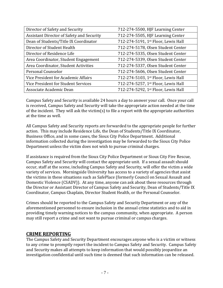| Director of Safety and Security           | 712-274-5500, HJF Learning Center   |
|-------------------------------------------|-------------------------------------|
| Assistant Director of Safety and Security | 712-274-5505, HJF Learning Center   |
| Dean of Students/Title IX Coordinator     | 712-274-5191, 1st Floor, Lewis Hall |
| Director of Student Health                | 712-274-5178, Olsen Student Center  |
| Director of Residence Life                | 712-274-5335, Olsen Student Center  |
| Area Coordinator, Student Engagement      | 712-274-5339, Olsen Student Center  |
| Area Coordinator, Student Activities      | 712-274-5337, Olsen Student Center  |
| Personal Counselor                        | 712-274-5606, Olsen Student Center  |
| Vice President for Academic Affairs       | 712-274-5103, 1st Floor, Lewis Hall |
| Vice President for Student Services       | 712-274-5257, 1st Floor, Lewis Hall |
| Associate Academic Dean                   | 712-274-5292, 1st Floor, Lewis Hall |

Campus Safety and Security is available 24 hours a day to answer your call. Once your call is received, Campus Safety and Security will take the appropriate action needed at the time of the incident. They will ask the victim(s) to file a report with the appropriate authorities at the time as well.

All Campus Safety and Security reports are forwarded to the appropriate people for further action. This may include Residence Life, the Dean of Students/Title IX Coordinator, Business Office, and in some cases, the Sioux City Police Department. Additional information collected during the investigation may be forwarded to the Sioux City Police Department unless the victim does not wish to pursue criminal charges.

If assistance is required from the Sioux City Police Department or Sioux City Fire Rescue, Campus Safety and Security will contact the appropriate unit. If a sexual assault should occur, staff at the scene, including Campus Safety and Security, will offer the victim a wide variety of services. Morningside University has access to a variety of agencies that assist the victims in these situations such as SafePlace (formerly Council on Sexual Assault and Domestic Violence (CSADV)). At any time, anyone can ask about these resources through the Director or Assistant Director of Campus Safety and Security, Dean of Students/Title IX Coordinator, Campus Chaplain, Director Student Health, or the Personal Counselor.

Crimes should be reported to the Campus Safety and Security Department or any of the aforementioned personnel to ensure inclusion in the annual crime statistics and to aid in providing timely warning notices to the campus community, when appropriate. A person may still report a crime and not want to pursue criminal or campus charges.

#### **CRIME REPORTING**

The Campus Safety and Security Department encourages anyone who is a victim or witness to any crime to promptly report the incident to Campus Safety and Security. Campus Safety and Security makes all attempts to keep information that would possibly jeopardize an investigation confidential until such time is deemed that such information can be released.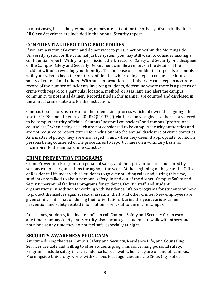In most cases, in the daily crime log, names are left out for the privacy of such individuals. All Clery Act crimes are included in the Annual Security report.

## **CONFIDENTIAL REPORTING PROCEDURES**

If you are a victim of a crime and do not want to pursue action within the Morningside University system or the criminal justice system, you may still want to consider making a confidential report. With your permission, the Director of Safety and Security or a designee of the Campus Safety and Security Department can file a report on the details of the incident without revealing your identity. The purpose of a confidential report is to comply with your wish to keep the matter confidential, while taking steps to ensure the future safety of yourself and others. With such information, the University can keep an accurate record of the number of incidents involving students, determine where there is a pattern of crime with regard to a particular location, method, or assailant, and alert the campus community to potential danger. Records filed in this manner are counted and disclosed in the annual crime statistics for the institution.

Campus Counselors as a result of the rulemaking process which followed the signing into law the 1998 amendments to 20 USC § 1092 (f), clarification was given to those considered to be campus security officials. Campus "pastoral counselors" and campus "professional counselors," when acting as such are not considered to be campus security authorities and are not required to report crimes for inclusion into the annual disclosure of crime statistics. As a matter of policy, they are encouraged; if and when they deem it appropriate, to inform persons being counseled of the procedures to report crimes on a voluntary basis for inclusion into the annual crime statistics.

## **CRIME PREVENTION PROGRAMS**

Crime Prevention Programs on personal safety and theft prevention are sponsored by various campus organizations throughout the year. At the beginning of the year, the Office of Residence Life meet with all students to go over building rules and during this time, students are talked to about personal safety, in and out of the dorms. Campus Safety and Security personnel facilitate programs for students, faculty, staff, and student organizations, in addition to working with Residence Life on programs for students on how to protect themselves against sexual assaults, theft, and other crimes. New employees are given similar information during their orientation. During the year, various crime prevention and safety related information is sent out to the entire campus.

At all times, students, faculty, or staff can call Campus Safety and Security for an escort at any time. Campus Safety and Security also encourages students to walk with others and not alone at any time they do not feel safe, especially at night.

## **SECURITY AWARENESS PROGRAMS**

Any time during the year Campus Safety and Security, Residence Life, and Counseling Services are able and willing to offer students programs concerning personal safety. Programs include safety in the residence halls as well when they are on and off campus. Morningside University works with various local agencies and the Sioux City Police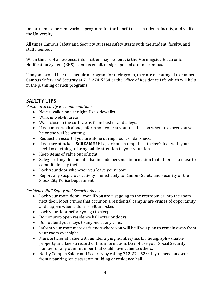Department to present various programs for the benefit of the students, faculty, and staff at the University.

All times Campus Safety and Security stresses safety starts with the student, faculty, and staff member.

When time is of an essence, information may be sent via the Morningside Electronic Notification System (ENS), campus email, or signs posted around campus.

If anyone would like to schedule a program for their group, they are encouraged to contact Campus Safety and Security at 712-274-5234 or the Office of Residence Life which will help in the planning of such programs.

## **SAFETY TIPS**

*Personal Security Recommendations*

- Never walk alone at night. Use sidewalks.
- Walk in well-lit areas.
- Walk close to the curb, away from bushes and alleys.
- If you must walk alone, inform someone at your destination when to expect you so he or she will be waiting.
- Request an escort if you are alone during hours of darkness.
- If you are attacked, **SCREAM!!!** Bite, kick and stomp the attacker's foot with your heel. Do anything to bring public attention to your situation.
- Keep items of value out of sight.
- Safeguard any documents that include personal information that others could use to commit identity theft.
- Lock your door whenever you leave your room.
- Report any suspicious activity immediately to Campus Safety and Security or the Sioux City Police Department.

#### *Residence Hall Safety and Security Advice*

- Lock your room door even if you are just going to the restroom or into the room next door. Most crimes that occur on a residential campus are crimes of opportunity and happen when a door is left unlocked.
- Lock your door before you go to sleep.
- Do not prop open residence hall exterior doors.
- Do not lend your keys to anyone at any time.
- Inform your roommate or friends where you will be if you plan to remain away from your room overnight.
- Mark articles of value with an identifying number/mark. Photograph valuable property and keep a record of this information. Do not use your Social Security number or any other number that could have value to others.
- Notify Campus Safety and Security by calling 712-274-5234 if you need an escort from a parking lot, classroom building or residence hall.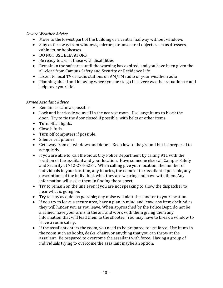#### *Severe Weather Advice*

- Move to the lowest part of the building or a central hallway without windows
- Stay as far away from windows, mirrors, or unsecured objects such as dressers, cabinets, or bookcases.
- DO NOT USE ELEVATORS
- Be ready to assist those with disabilities
- Remain in the safe area until the warning has expired, and you have been given the all-clear from Campus Safety and Security or Residence Life
- Listen to local TV or radio stations on AM/FM radio or your weather radio
- Planning ahead and knowing where you are to go in severe weather situations could help save your life!

#### *Armed Assailant Advice*

- Remain as calm as possible
- Lock and barricade yourself in the nearest room. Use large items to block the door. Try to tie the door closed if possible, with belts or other items.
- Turn off all lights.
- Close blinds.
- Turn off computers if possible.
- Silence cell phones.
- Get away from all windows and doors. Keep low to the ground but be prepared to act quickly.
- If you are able to, call the Sioux City Police Department by calling 911 with the location of the assailant and your location. Have someone else call Campus Safety and Security at 712-274-5234. When calling give your location, the number of individuals in your location, any injuries, the name of the assailant if possible, any descriptions of the individual, what they are wearing and have with them. Any information will assist them in finding the suspect.
- Try to remain on the line even if you are not speaking to allow the dispatcher to hear what is going on.
- Try to stay as quiet as possible; any noise will alert the shooter to your location.
- If you try to leave a secure area, have a plan in mind and leave any items behind as they will hinder you as you leave. When approached by the Police Dept. do not be alarmed, have your arms in the air, and work with them giving them any information that will lead them to the shooter. You may have to break a window to leave a room safely.
- If the assailant enters the room, you need to be prepared to use force. Use items in the room such as books, desks, chairs, or anything that you can throw at the assailant. Be prepared to overcome the assailant with force. Having a group of individuals trying to overcome the assailant maybe an option.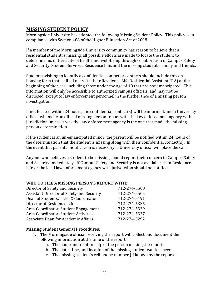#### **MISSING STUDENT POLICY**

Morningside University has adopted the following Missing Student Policy. This policy is in compliance with Section 488 of the Higher Education Act of 2008.

If a member of the Morningside University community has reason to believe that a residential student is missing, all possible efforts are made to locate the student to determine his or her state of health and well-being through collaboration of Campus Safety and Security, Student Services, Residence Life, and the missing student's family and friends.

Students wishing to identify a confidential contact or contacts should include this on housing form that is filled out with their Residence Life Residential Assistant (RA) at the beginning of the year, including those under the age of 18 that are not emancipated This information will only be accessible to authorized campus officials, and may not be disclosed, except to law enforcement personnel in the furtherance of a missing person investigation.

If not located within 24 hours, the confidential contact(s) will be informed, and a University official will make an official missing person report with the law enforcement agency with jurisdiction unless it was the law enforcement agency is the one that made the missing person determination.

If the student is an un-emancipated minor, the parent will be notified within 24 hours of the determination that the student is missing along with their confidential contact(s). In the event that parental notification is necessary, a University official will place the call.

Anyone who believes a student to be missing should report their concern to Campus Safety and Security immediately. If Campus Safety and Security is not available, then Residence Life or the local law enforcement agency with jurisdiction should be notified.

#### **WHO TO FILE A MISSING PERSON'S REPORT WITH:**

| Director of Safety and Security           | 712-274-5500 |
|-------------------------------------------|--------------|
| Assistant Director of Safety and Security | 712-274-5505 |
| Dean of Students/Title IX Coordinator     | 712-274-5191 |
| Director of Residence Life                | 712-274-5335 |
| Area Coordinator, Student Engagement      | 712-274-5339 |
| Area Coordinator, Student Activities      | 712-274-5337 |
| Associate Dean for Academic Affairs       | 712-274-5292 |
|                                           |              |

#### **Missing Student General Procedures:**

- 1. The Morningside official receiving the report will collect and document the following information at the time of the report:
	- a. The name and relationship of the person making the report.
	- b. The date, time, and location of the missing student was last seen.
	- c. The missing student's cell phone number (if known by the reporter)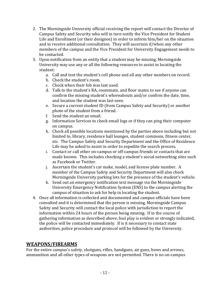- 2. The Morningside University official receiving the report will contact the Director of Campus Safety and Security who will in turn notify the Vice President for Student Life and Enrollment (or their designee) in order to inform him/her on the situation and to receive additional consultation. They will ascertain if/when any other members of the campus and the Vice President for University Engagement needs to be contacted.
- 3. Upon notification from an entity that a student may be missing, Morningside University may use any or all the following resources to assist in locating the student:
	- a. Call and text the student's cell phone and all any other numbers on record.
	- b. Check the student's room.
	- c. Check when their fob was last used.
	- d. Talk to the student's RA, roommate, and floor mates to see if anyone can confirm the missing student's whereabouts and/or confirm the date, time, and location the student was last seen.
	- e. Secure a current student ID (from Campus Safety and Security) or another photo of the student from a friend.
	- f. Send the student an email.
	- g. Information Services to check email logs or if they can ping their computer on campus.
	- h. Check all possible locations mentioned by the parties above including but not limited to, library, residence hall lounges, student commons, fitness center, etc. The Campus Safety and Security Department and the Office of Residence Life may be asked to assist in order to expedite the search process.
	- i. Contact or call other on-campus or off-campus friends or contacts that are made known. This includes checking a student's social networking sites such as Facebook or Twitter.
	- j. Ascertain the student's car make, model, and license plate number. A member of the Campus Safety and Security Department will also check Morningside University parking lots for the presence of the student's vehicle.
	- k. Send out an emergency notification text message via the Morningside University Emergency Notification System (ENS) to the campus alerting the campus of situation to ask for help in locating the student.
- 4. Once all information is collected and documented and campus officials have been consulted and it is determined that the person is missing, Morningside Campus Safety and Security will contact the local police with jurisdiction to report the information within 24 hours of the person being missing. If in the course of gathering information as described above, foul play is evident or strongly indicated, the police will be contacted immediately. If is it necessary to contact state authorities, police procedure and protocol will be followed by the University.

## **WEAPONS/FIREARMS**

For the entire campus's safety, shotguns, rifles, handguns, air guns, bows and arrows, ammunition and all other types of weapons are not permitted. There is no on-campus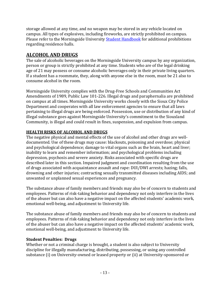storage allowed at any time, and no weapon may be stored in any vehicle located on campus. All types of explosives, including fireworks, are strictly prohibited on campus. Please refer to the Morningside University **[Student Handbook](https://my.morningside.edu/campus_offices/student_life/student_handbook)** for additional prohibitions regarding residence halls.

## **ALCOHOL AND DRUGS**

The sale of alcoholic beverages on the Morningside University campus by any organization, person or group is strictly prohibited at any time. Students who are of the legal drinking age of 21 may possess or consume alcoholic beverages only in their private living quarters. If a student has a roommate, they, along with anyone else in the room, must be 21 also to consume alcohol in the room.

Morningside University complies with the Drug-Free Schools and Communities Act Amendments of 1989, Public Law 101-226. Illegal drugs and paraphernalia are prohibited on campus at all times. Morningside University works closely with the Sioux City Police Department and cooperates with all law enforcement agencies to ensure that all laws pertaining to illegal drugs are being enforced. Possession, use or distribution of any kind of illegal substance goes against Morningside University's commitment to the Siouxland Community, is illegal and could result in fines, suspension, and expulsion from campus.

#### **HEALTH RISKS OF ALCOHOL AND DRUGS**

The negative physical and mental effects of the use of alcohol and other drugs are welldocumented. Use of these drugs may cause: blackouts, poisoning and overdose; physical and psychological dependence; damage to vital organs such as the brain, heart and liver; inability to learn and remember information; and psychological problems including depression, psychosis and severe anxiety. Risks associated with specific drugs are described later in this section. Impaired judgment and coordination resulting from the use of drugs associated with acquaintance assault and rape: DUI/DWI arrests; hazing; falls, drowning and other injuries; contracting sexually transmitted diseases including AIDS; and unwanted or unplanned sexual experiences and pregnancy.

The substance abuse of family members and friends may also be of concern to students and employees. Patterns of risk-taking behavior and dependency not only interfere in the lives of the abuser but can also have a negative impact on the affected students' academic work, emotional well-being, and adjustment to University life.

The substance abuse of family members and friends may also be of concern to students and employees. Patterns of risk-taking behavior and dependency not only interfere in the lives of the abuser but can also have a negative impact on the affected students' academic work, emotional well-being, and adjustment to University life.

#### **Student Penalties: Drugs**

Whether or not a criminal charge is brought, a student is also subject to University discipline for illegally manufacturing, distributing, possessing, or using any controlled substance (i) on University-owned or leased property or (ii) at University-sponsored or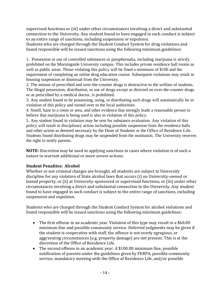supervised functions or (iii) under other circumstances involving a direct and substantial connection to the University. Any student found to have engaged in such conduct is subject to an entire range of sanctions, including suspension or expulsion.

Students who are charged through the Student Conduct System for drug violations and found responsible will be issued sanctions using the following minimum guidelines:

1. Possession or use of controlled substances or paraphernalia, including marijuana is strictly prohibited on the Morningside University campus. This includes private residence hall rooms as well as public areas. Those violating this policy will be fined a minimum of \$100 and the requirement of completing an online drug education course. Subsequent violations may result in housing suspension or dismissal from the University.

2. The misuse of prescribed and over-the-counter drugs is destructive to the welfare of students. The illegal possession, distribution, or use of drugs except as directed on over-the-counter drugs or as prescribed by a medical doctor, is prohibited.

3. Any student found to be possessing, using, or distributing such drugs will automatically be in violation of this policy and turned over to the local authorities.

4. Smell, haze in a room or area, and other evidence that strongly leads a reasonable person to believe that marijuana is being used is also in violation of this policy.

5. Any student found in violation may be sent for substance evaluation. Any violation of this policy will result in disciplinary action including possible suspension from the residence halls and other action as deemed necessary by the Dean of Students or the Office of Residence Life. Students found distributing drugs may be suspended from the institution. The University reserves the right to notify parents.

**NOTE:** Discretion may be used in applying sanctions in cases where violation is of such a nature to warrant additional or more severe actions.

#### **Student Penalties: Alcohol**

Whether or not criminal charges are brought, all students are subject to University discipline for any violation of State alcohol laws that occurs (i) on University-owned or leased property, or (ii) at University-sponsored or supervised functions, or (iii) under other circumstances involving a direct and substantial connection to the University. Any student found to have engaged in such conduct is subject to the entire range of sanctions, including suspension and expulsion.

Students who are charged through the Student Conduct System for alcohol violations and found responsible will be issued sanctions using the following minimum guidelines:

- The first offense in an academic year. Violation of this type may result in a \$60.00 minimum fine and possible community service. Deferred judgments may be given if the student is cooperative with staff, the offence is not overly egregious, or aggravating circumstances (e.g. property damage) are not present. This is at the discretion of the Office of Residence Life.
- The second offense in an academic year. A \$100.00 minimum fine, possible notification of parents under the guidelines given by FERPA, possible community service, mandatory meeting with the Office of Residence Life, and/or possible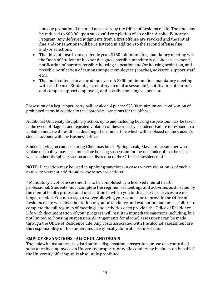housing probation if deemed necessary by the Office of Residence Life. The fine may be reduced to \$60.00 upon successful completion of an online Alcohol Education Program. Any deferred judgments from a first offense are revoked and the initial fine and/or sanctions will be reinstated in addition to the second offense fine and/or sanctions.

- The third offense in an academic year. \$150 minimum fine, mandatory meeting with the Dean of Student or his/her designee, possible mandatory alcohol assessment\*, notification of parents, possible housing relocation and/or housing probation, and possible notification of campus support employees (coaches, advisers, support staff, etc.).
- The fourth offense in an academic year. A \$200 minimum fine, mandatory meeting with the Dean of Students, mandatory alcohol assessment<sup>\*</sup>, notification of parents and campus support employees, and possible housing suspension.

Possession of a keg, tapper, party ball, or alcohol punch: \$75.00 minimum and confiscation of prohibited items in addition to the appropriate sanctions for the offense.

Additional University disciplinary action, up to and including housing suspension, may be taken in the event of flagrant and repeated violation of these rules by a student. Failure to respond to a violation notice will result in a doubling of the initial fine which will be placed on the student's student account with the Business Office.

Students living on campus during Christmas break, Spring break, May term or summer who violate this policy may face immediate housing suspension for the remainder of that break as well as other disciplinary action at the discretion of the Office of Residence Life.

**NOTE:** Discretion may be used in applying sanctions in cases where violation is of such a nature to warrant additional or more severe actions.

\* Mandatory alcohol assessment is to be completed by a licensed mental health professional. Students must complete the regimen of meetings and activities as directed by the mental health professional until a time in which you both agree the services are no longer needed. You must sign a waiver allowing your counselor to provide the Office of Residence Life with documentation of your attendance and evaluation outcomes. Failure to complete the full regimen of meetings and activities or to provide the Office of Residence Life with documentation of your progress will result in immediate sanctions including, but not limited to, housing suspension. Arrangements for alcohol assessment can be made through the Office of Residence Life. Any costs associated with the alcohol assessment are the responsibility of the student and are typically done at a reduced rate.

#### **EMPLOYEE SANCTIONS - ALCOHOL AND DRUGS**

The unlawful manufacture, distribution, dispensation, possession, or use of a controlled substance by employees on University property, or while conducting business on behalf of the University off campus, is absolutely prohibited.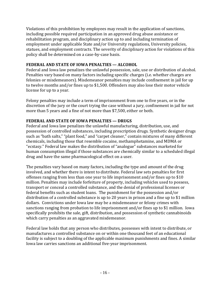Violations of this prohibition by employees may result in the application of sanctions, including possible required participation in an approved drug abuse assistance or rehabilitation program, and disciplinary action up to and including termination of employment under applicable State and/or University regulations, University policies, statues, and employment contracts. The severity of disciplinary action for violations of this policy shall be determined on a case-by-case basis.

#### **FEDERAL AND STATE OF IOWA PENALTIES — ALCOHOL**

Federal and Iowa law penalizes the unlawful possession, sale, use or distribution of alcohol. Penalties vary based on many factors including specific charges (i.e. whether charges are felonies or misdemeanors). Misdemeanor penalties may include confinement in jail for up to twelve months and/or fines up to \$1,500. Offenders may also lose their motor vehicle license for up to a year.

Felony penalties may include a term of imprisonment from one to five years, or in the discretion of the jury or the court trying the case without a jury, confinement in jail for not more than 5 years and a fine of not more than \$7,500, either or both.

#### **FEDERAL AND STATE OF IOWA PENALTIES — DRUGS**

Federal and Iowa law penalizes the unlawful manufacturing, distribution, use, and possession of controlled substances, including prescription drugs. Synthetic designer drugs such as "bath salts," "plant food," and "carpet cleaner," contain mixtures of many different chemicals, including those that resemble cocaine, methamphetamine, and MDMA or "ecstasy." Federal law makes the distribution of "analogue" substances marketed for human consumption illegal if those substances are chemically similar to a scheduled illegal drug and have the same pharmacological effect on a user.

The penalties vary based on many factors, including the type and amount of the drug involved, and whether there is intent to distribute. Federal law sets penalties for first offenses ranging from less than one year to life imprisonment and/or fines up to \$10 million. Penalties may include forfeiture of property, including vehicles used to possess, transport or conceal a controlled substance, and the denial of professional licenses or federal benefits such as student loans. The punishment for the possession and/or distribution of a controlled substance is up to 20 years in prison and a fine up to \$1 million dollars. Convictions under Iowa law may be a misdemeanor or felony crimes with sanctions ranging from probation to life imprisonment and/or fines up to \$1 million. Iowa specifically prohibits the sale, gift, distribution, and possession of synthetic cannabinoids which carry penalties as an aggravated misdemeanor.

Federal law holds that any person who distributes, possesses with intent to distribute, or manufactures a controlled substance on or within one thousand feet of an educational facility is subject to a doubling of the applicable maximum punishments and fines. A similar Iowa law carries sanctions an additional five-year imprisonment.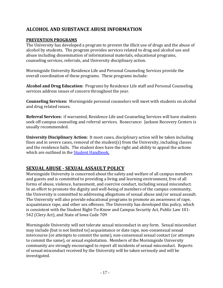## **ALCOHOL AND SUBSTANCE ABUSE INFORMATION**

#### **PREVENTION PROGRAMS**

The University has developed a program to prevent the illicit use of drugs and the abuse of alcohol by students. The program provides services related to drug and alcohol use and abuse including dissemination of informational materials, educational programs, counseling services, referrals, and University disciplinary action.

Morningside University Residence Life and Personal Counseling Services provide the overall coordination of these programs. These programs include:

**Alcohol and Drug Education:** Programs by Residence Life staff and Personal Counseling services address issues of concern throughout the year.

**Counseling Services:** Morningside personal counselors will meet with students on alcohol and drug related issues.

**Referral Services:** if warranted, Residence Life and Counseling Services will have students seek off-campus counseling and referral services. Rosecrance: Jackson Recovery Centers is usually recommended.

**University Disciplinary Action:** It most cases, disciplinary action will be taken including fines and in severe cases, removal of the student(s) from the University, including classes and the residence halls. The student does have the right and ability to appeal the actions which are outlined in the [Student Handbook.](https://my.morningside.edu/campus_offices/student_life/student_handbook)

## **SEXUAL ABUSE - SEXUAL ASSAULT POLICY**

Morningside University is concerned about the safety and welfare of all campus members and guests and is committed to providing a living and learning environment, free of all forms of abuse, violence, harassment, and coercive conduct, including sexual misconduct. In an effort to promote the dignity and well-being of members of the campus community, the University is committed to addressing allegations of sexual abuse and/or sexual assault. The University will also provide educational programs to promote an awareness of rape, acquaintance rape, and other sex offenses. The University has developed this policy, which is consistent with the Student Right-To-Know and Campus Security Act, Public Law 101- 542 (Clery Act), and State of Iowa Code 709

Morningside University will not tolerate sexual misconduct in any form. Sexual misconduct may include (but is not limited to) acquaintance or date rape, non-consensual sexual intercourse (or attempts to commit the same), non-consensual sexual contact (or attempts to commit the same), or sexual exploitation. Members of the Morningside University community are strongly encouraged to report all incidents of sexual misconduct. Reports of sexual misconduct received by the University will be taken seriously and will be investigated.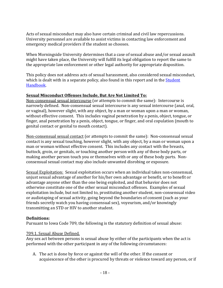Acts of sexual misconduct may also have certain criminal and civil law repercussions. University personnel are available to assist victims in contacting law enforcement and emergency medical providers if the student so chooses.

When Morningside University determines that a case of sexual abuse and/or sexual assault might have taken place, the University will fulfill its legal obligation to report the same to the appropriate law enforcement or other legal authority for appropriate disposition.

This policy does not address acts of sexual harassment, also considered sexual misconduct, which is dealt with in a separate policy, also found in this report and in the **Student** [Handbook.](https://my.morningside.edu/campus_offices/student_life/student_handbook)

#### **Sexual Misconduct Offenses Include, But Are Not Limited To:**

Non-consensual sexual intercourse (or attempts to commit the same): Intercourse is narrowly defined. Non-consensual sexual intercourse is any sexual intercourse (anal, oral, or vaginal), however slight, with any object, by a man or woman upon a man or woman, without effective consent. This includes vaginal penetration by a penis, object, tongue, or finger, anal penetration by a penis, object, tongue, or finger, and oral copulation (mouth to genital contact or genital to mouth contact).

Non-consensual sexual contact (or attempts to commit the same): Non-consensual sexual contact is any sexual touching, however slight, with any object, by a man or woman upon a man or woman without effective consent. This includes any contact with the breasts, buttock, groin, or genitals, or touching another person with any of these body parts, or making another person touch you or themselves with or any of these body parts. Nonconsensual sexual contact may also include unwanted disrobing or exposure.

Sexual Exploitation: Sexual exploitation occurs when an individual takes non-consensual, unjust sexual advantage of another for his/her own advantage or benefit, or to benefit or advantage anyone other than the one being exploited, and that behavior does not otherwise constitute one of the other sexual misconduct offenses. Examples of sexual exploitation include, but not limited to, prostituting another student, non-consensual video or audiotaping of sexual activity, going beyond the boundaries of consent (such as your friends secretly watch you having consensual sex), voyeurism, and/or knowingly transmitting an STD or HIV to another student.

#### **Definitions:**

Pursuant to Iowa Code 709, the following is the statutory definition of sexual abuse:

#### 709.1. Sexual Abuse Defined.

Any sex act between persons is sexual abuse by either of the participants when the act is performed with the other participant in any of the following circumstances:

A. The act is done by force or against the will of the other. If the consent or acquiescence of the other is procured by threats or violence toward any person, or if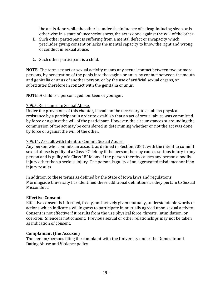the act is done while the other is under the influence of a drug-inducing sleep or is otherwise in a state of unconsciousness, the act is done against the will of the other.

- B. Such other participant is suffering from a mental defect or incapacity which precludes giving consent or lacks the mental capacity to know the right and wrong of conduct in sexual abuse.
- C. Such other participant is a child.

**NOTE**: The term sex act or sexual activity means any sexual contact between two or more persons, by penetration of the penis into the vagina or anus, by contact between the mouth and genitalia or anus of another person, or by the use of artificial sexual organs, or substitutes therefore in contact with the genitalia or anus.

**NOTE**: A child is a person aged fourteen or younger.

#### 709.5. Resistance to Sexual Abuse.

Under the provisions of this chapter, it shall not be necessary to establish physical resistance by a participant in order to establish that an act of sexual abuse was committed by force or against the will of the participant. However, the circumstances surrounding the commission of the act may be considered in determining whether or not the act was done by force or against the will of the other.

#### 709.11. Assault with Intent to Commit Sexual Abuse.

Any person who commits an assault, as defined in Section 708.1, with the intent to commit sexual abuse is guilty of a Class "C" felony if the person thereby causes serious injury to any person and is guilty of a Class "B" felony if the person thereby causes any person a bodily injury other than a serious injury. The person is guilty of an aggravated misdemeanor if no injury results.

In addition to these terms as defined by the State of Iowa laws and regulations, Morningside University has identified these additional definitions as they pertain to Sexual Misconduct:

#### **Effective Consent**

Effective consent is informed, freely, and actively given mutually, understandable words or actions which indicate a willingness to participate in mutually agreed upon sexual activity. Consent is not effective if it results from the use physical force, threats, intimidation, or coercion. Silence is not consent. Previous sexual or other relationships may not be taken as indication of consent.

#### **Complainant (the Accuser)**

The person/persons filing the complaint with the University under the Domestic and Dating Abuse and Violence policy.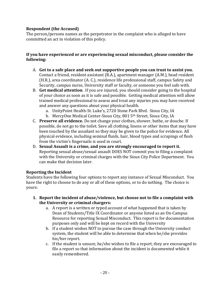#### **Respondent (the Accused)**

The person/persons names as the perpetrator in the complaint who is alleged to have committed an act in violation of this policy.

#### **If you have experienced or are experiencing sexual misconduct, please consider the following:**

- A. **Get to a safe place and seek out supportive people you can trust to assist you.** Contact a friend, resident assistant (R.A.), apartment manager (A.M.), head resident (H.R.), area coordinator (A. C.), residence life professional staff, campus Safety and Security, campus nurse, University staff or faculty, or someone you feel safe with.
- B. **Get medical attention**. If you are injured, you should consider going to the hospital of your choice as soon as it is safe and possible. Getting medical attention will allow trained medical professional to assess and treat any injuries you may have received and answer any questions about your physical health.
	- a. UnityPoint Health-St. Luke's, 2720 Stone Park Blvd. Sioux City, IA
	- b. MercyOne Medical Center-Sioux City, 801 5<sup>th</sup> Street, Sioux City, IA
- C. **Preserve all evidence.** Do not change your clothes, shower, bathe, or douche. If possible, do not go to the toilet. Save all clothing, linens or other items that may have been touched by the assailant so they may be given to the police for evidence. All physical evidence, including seminal fluids, hair, blood types and scrapings of flesh from the victim's fingernails is used in court.
- D. **Sexual Assault is a crime, and you are strongly encouraged to report it.** Reporting sexual abuse/sexual assault DOES NOT commit you to filing a complaint with the University or criminal charges with the Sioux City Police Department. You can make that decision later.

#### **Reporting the Incident**

Students have the following four options to report any instance of Sexual Misconduct. You have the right to choose to do any or all of these options, or to do nothing. The choice is yours:

- **1. Report the incident of abuse/violence, but choose not to file a complaint with the University or criminal chargers:**
	- a. A report is a written or typed account of what happened that is taken by Dean of Students/Title IX Coordinator or anyone listed as an On-Campus Resource for reporting Sexual Misconduct. This report is for documentation purposes only and will be kept on record with the University
	- b. If a student wishes NOT to pursue the case through the University conduct system, the student will be able to determine that when he/she provides his/her report.
	- c. If the student is unsure, he/she wishes to file a report, they are encouraged to file a report so that information about the incident is documented while it easily remembered.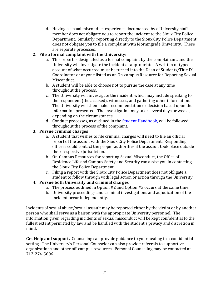d. Having a sexual misconduct experience documented by a University staff member does not obligate you to report the incident to the Sioux City Police Department. Similarly, reporting directly to the Sioux City Police Department does not obligate you to file a complaint with Morningside University. These are separate processes.

#### **2. File a formal complaint with the University:**

- a. This report is designated as a formal complaint by the complainant, and the University will investigate the incident as appropriate. A written or typed account of what occurred must be turned into the Dean of Students/Title IX Coordinator or anyone listed as an On-campus Resource for Reporting Sexual Misconduct.
- b. A student will be able to choose not to pursue the case at any time throughout the process.
- c. The University will investigate the incident, which may include speaking to the respondent (the accused), witnesses, and gathering other information. The University will then make recommendation or decision based upon the information presented. The investigation may take several days or weeks, depending on the circumstances.
- d. Conduct processes, as outlined in th[e Student Handbook,](https://my.morningside.edu/campus_offices/student_life/student_handbook) will be followed throughout the process of the complaint.

#### **3. Pursue criminal charges**

- a. A student that wishes to file criminal charges will need to file an official report of the assault with the Sioux City Police Department. Responding officers could contact the proper authorities if the assault took place outside their respective jurisdiction.
- b. On-Campus Resources for reporting Sexual Misconduct, the Office of Residence Life and Campus Safety and Security can assist you in contacting the Sioux City Police Department.
- c. Filing a report with the Sioux City Police Department does not obligate a student to follow through with legal action or action through the University.

#### **4. Pursue both University and criminal charges**

- a. The process outlined in Option #2 and Option #3 occurs at the same time.
- b. University proceedings and criminal investigations and adjudication of the incident occur independently.

Incidents of sexual abuse/sexual assault may be reported either by the victim or by another person who shall serve as a liaison with the appropriate University personnel. The information given regarding incidents of sexual misconduct will be kept confidential to the fullest extent permitted by law and be handled with the student's privacy and discretion in mind.

**Get Help and support.** Counseling can provide guidance to your healing in a confidential setting. The University's Personal Counselor can also provide referrals to supportive organizations and other off-campus resources. Personal Counseling may be contacted at 712-274-5606.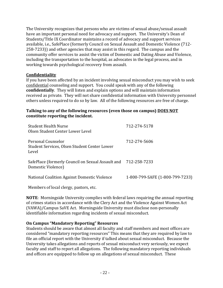The University recognizes that persons who are victims of sexual abuse/sexual assault have an important personal need for advocacy and support. The University's Dean of Students/Title IX Coordinator maintains a record of advocacy and support services available, i.e., SafePlace (formerly Council on Sexual Assault and Domestic Violence (712- 258-7233)) and other agencies that may assist in this regard. The campus and the community offer services to assist the victim of Domestic and Dating Abuse and Violence, including the transportation to the hospital, as advocates in the legal process, and in working towards psychological recovery from assault.

#### **Confidentiality**

If you have been affected by an incident involving sexual misconduct you may wish to seek confidential counseling and support. You could speak with any of the following **confidentially**. They will listen and explain options and will maintain information received as private. They will not share confidential information with University personnel others unless required to do so by law. All of the following resources are free of charge.

#### **Talking to any of the following resources (even those on campus) DOES NOT constitute reporting the incident.**

| <b>Student Health Nurse</b><br>Olsen Student Center Lower Level             | 712-274-5178                    |
|-----------------------------------------------------------------------------|---------------------------------|
| Personal Counselor<br>Student Services, Olsen Student Center Lower<br>Level | 712-274-5606                    |
| SafePlace (formerly Council on Sexual Assault and<br>Domestic Violence)     | 712-258-7233                    |
| National Coalition Against Domestic Violence                                | 1-800-799-SAFE (1-800-799-7233) |

Members of local clergy, pastors, etc.

**NOTE**: Morningside University complies with federal laws requiring the annual reporting of crimes statics in accordance with the Clery Act and the Violence Against Women Act (VAWA)/Campus SaVE Act. Morningside University must disclose non-personally identifiable information regarding incidents of sexual misconduct.

#### **On Campus "Mandatory Reporting" Resources**

Students should be aware that almost all faculty and staff members and most offices are considered "mandatory reporting resources" This means that they are required by law to file an official report with the University if talked about sexual misconduct. Because the University takes allegations and reports of sexual misconduct very seriously, we expect faculty and staff to report all allegations. The following mandatory reporting individuals and offices are equipped to follow up on allegations of sexual misconduct. These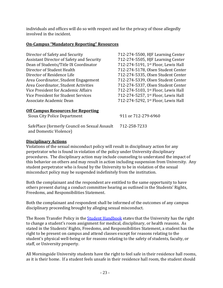individuals and offices will do so with respect and for the privacy of those allegedly involved in the incident.

#### **On-Campus "Mandatory Reporting" Resources**

| Director of Safety and Security                  | 712-274-5500, HJF Learning Center   |
|--------------------------------------------------|-------------------------------------|
| <b>Assistant Director of Safety and Security</b> | 712-274-5505, HJF Learning Center   |
| Dean of Students/Title IX Coordinator            | 712-274-5191, 1st Floor, Lewis Hall |
| Director of Student Health                       | 712-274-5178, Olsen Student Center  |
| Director of Residence Life                       | 712-274-5335, Olsen Student Center  |
| Area Coordinator, Student Engagement             | 712-274-5339, Olsen Student Center  |
| Area Coordinator, Student Activities             | 712-274-5337, Olsen Student Center  |
| Vice President for Academic Affairs              | 712-274-5103, 1st Floor, Lewis Hall |
| Vice President for Student Services              | 712-274-5257, 1st Floor, Lewis Hall |
| Associate Academic Dean                          | 712-274-5292, 1st Floor, Lewis Hall |
|                                                  |                                     |

#### **Off Campus Resources for Reporting**

Sioux City Police Department 911 or 712-279-6960

SafePlace (formerly Council on Sexual Assault and Domestic Violence)

## 712-258-7233

#### **Disciplinary Actions**

Violations of the sexual misconduct policy will result in disciplinary action for any perpetrator who is found in violation of the policy under University disciplinary procedures. The disciplinary action may include counseling to understand the impact of this behavior on others and may result in action including suspension from University. Any student perpetrator who is found by the University to be in violation of the sexual misconduct policy may be suspended indefinitely from the institution.

Both the complainant and the respondent are entitled to the same opportunity to have others present during a conduct committee hearing as outlined in the Students' Rights, Freedoms, and Responsibilities Statement.

Both the complainant and respondent shall be informed of the outcomes of any campus disciplinary proceeding brought by alleging sexual misconduct.

The Room Transfer Policy in the **Student Handbook** states that the University has the right to change a student's room assignment for medical, disciplinary, or health reasons. As stated in the Students' Rights, Freedoms, and Responsibilities Statement, a student has the right to be present on campus and attend classes except for reasons relating to the student's physical well-being or for reasons relating to the safety of students, faculty, or staff, or University property.

All Morningside University students have the right to feel safe in their residence hall rooms, as it is their home. If a student feels unsafe in their residence hall room, the student should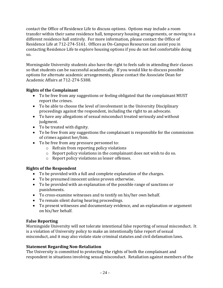contact the Office of Residence Life to discuss options. Options may include a room transfer within their same residence hall, temporary housing arrangements, or moving to a different residence hall entirely. For more information, please contact the Office of Residence Life at 712-274-5161. Offices as On-Campus Resources can assist you in contacting Residence Life to explore housing options if you do not feel comfortable doing so.

Morningside University students also have the right to feels safe in attending their classes so that students can be successful academically. If you would like to discuss possible options for alternate academic arrangements, please contact the Associate Dean for Academic Affairs at 712-274-5388.

#### **Rights of the Complainant**

- To be free from any suggestions or feeling obligated that the complainant MUST report the crimes.
- To be able to choose the level of involvement in the University Disciplinary proceedings against the respondent, including the right to an advocate.
- To have any allegations of sexual misconduct treated seriously and without judgment.
- To be treated with dignity.
- To be free from any suggestions the complainant is responsible for the commission of crimes against her/him.
- To be free from any pressure personnel to:
	- o Refrain from reporting policy violations
	- o Report policy violations in the complainant does not wish to do so.
	- o Report policy violations as lesser offenses.

#### **Rights of the Respondent**

- To be provided with a full and complete explanation of the charges.
- To be presumed innocent unless proven otherwise.
- To be provided with an explanation of the possible range of sanctions or punishments.
- To cross-examine witnesses and to testify on his/her own behalf.
- To remain silent during hearing proceedings.
- To present witnesses and documentary evidence, and an explanation or argument on his/her behalf.

#### **False Reporting**

Morningside University will not tolerate intentional false reporting of sexual misconduct. It is a violation of University policy to make an intentionally false report of sexual misconduct, and it may also violate state criminal statutes and civil defamation laws.

#### **Statement Regarding Non-Retaliation**

The University is committed to protecting the rights of both the complainant and respondent in situations involving sexual misconduct. Retaliation against members of the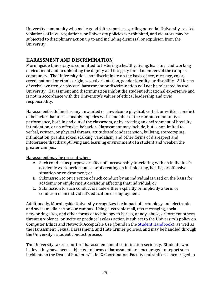University community who make good faith reports regarding potential University-related violations of laws, regulations, or University policies is prohibited, and violators may be subjected to disciplinary action up to and including dismissal or expulsion from the University.

## **HARASSMENT AND DISCRIMINATION**

Morningside University is committed to fostering a healthy, living, learning, and working environment and to upholding the dignity and integrity for all members of the campus community. The University does not discriminate on the basis of sex, race, age, color, creed, national or ethnic origin, sexual orientation, gender identity, or disability. All forms of verbal, written, or physical harassment or discrimination will not be tolerated by the University. Harassment and discrimination inhibit the student educational experience and is not in accordance with the University's values of ethical leadership and civic responsibility.

Harassment is defined as any unwanted or unwelcome physical, verbal, or written conduct of behavior that unreasonably impedes with a member of the campus community's performance, both in and out of the classroom, or by creating an environment of hostility, intimidation, or an offensive behavior. Harassment may include, but is not limited to, verbal, written, or physical threats, attitudes of condescension, bullying, stereotyping, intimidation, pranks, jokes, stalking, vandalism, and other forms of disrespect and intolerance that disrupt living and learning environment of a student and weaken the greater campus.

Harassment may be present when:

- A. Such conduct as purpose or effect of unreasonably interfering with an individual's academic work performance or of creating an intimidating, hostile, or offensive situation or environment; or
- B. Submission to or rejection of such conduct by an individual is used on the basis for academic or employment decisions affecting that individual; or
- C. Submission to such conduct is made either explicitly or implicitly a term or condition of an individual's education or employment.

Additionally, Morningside University recognizes the impact of technology and electronic and social media has on our campus. Using electronic mail, text messaging, social networking sites, and other forms of technology to harass, annoy, abuse, or torment others, threaten violence, or incite or produce lawless action is subject to the University's policy on Computer Ethics and Network Acceptable Use (found in th[e Student Handbook\)](https://my.morningside.edu/campus_offices/student_life/student_handbook), as well as the Harassment, Sexual Harassment, and Hate Crimes policies, and may be handled through the University's student conduct process.

The University takes reports of harassment and discrimination seriously. Students who believe they have been subjected to forms of harassment are encouraged to report such incidents to the Dean of Students/Title IX Coordinator. Faculty and staff are encouraged to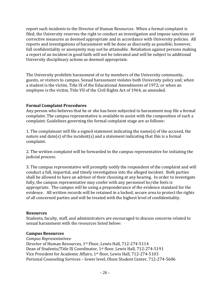report such incidents to the Director of Human Resources. When a formal complaint is filed, the University reserves the right to conduct an investigation and impose sanctions or corrective measures as deemed appropriate and in accordance with University policies. All reports and investigations of harassment will be done as discreetly as possible; however, full confidentiality or anonymity may not be attainable. Retaliation against persons making a report of an incident in good faith will not be tolerated and will be subject to additional University disciplinary actions as deemed appropriate.

The University prohibits harassment of or by members of the University community, guests, or visitors to campus. Sexual harassment violates both University policy and, when a student is the victim, Title IX of the Educational Amendments of 1972; or when an employee is the victim, Title VII of the Civil Rights Act of 1964, as amended.

#### **Formal Complaint Procedures**

Any person who believes that he or she has been subjected to harassment may file a formal complaint. The campus representative is available to assist with the composition of such a complaint. Guidelines governing the formal complaint stage are as follows:

1. The complainant will file a signed statement indicating the name(s) of the accused, the nature and date(s) of the incident(s) and a statement indicating that this is a formal complaint.

2. The written complaint will be forwarded to the campus representative for initiating the judicial process.

3. The campus representative will promptly notify the respondent of the complaint and will conduct a full, impartial, and timely investigation into the alleged incident. Both parties shall be allowed to have an advisor of their choosing at any hearing. In order to investigate fully, the campus representative may confer with any personnel he/she feels is appropriate. The campus will be using a preponderance of the evidence standard for the evidence. All written records will be retained in a locked, secure area to protect the rights of all concerned parties and will be treated with the highest level of confidentiality.

#### **Resources**

Students, faculty, staff, and administrators are encouraged to discuss concerns related to sexual harassment with the resources listed below:

#### **Campus Resources**

*Campus Representatives:* Director of Human Resources, 1st Floor, Lewis Hall, 712-274-5114 Dean of Students/Title IX Coordinator, 1st floor, Lewis Hall, 712-274-5191 Vice President for Academic Affairs, 1st floor, Lewis Hall, 712-274-5103 Personal Counseling Services – lower level, Olsen Student Center, 712-274-5606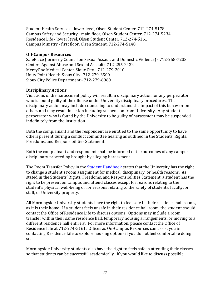Student Health Services - lower level, Olsen Student Center, 712-274-5178 Campus Safety and Security - main floor, Olsen Student Center, 712-274-5234 Residence Life - lower level, Olsen Student Center, 712-274-5161 Campus Ministry - first floor, Olsen Student, 712-274-5148

#### **Off-Campus Resources**

SafePlace (formerly Council on Sexual Assault and Domestic Violence) - 712-258-7233 Centers Against Abuse and Sexual Assault: 712-255-2432 MercyOne Medical Center-Sioux City - 712-279-2010 Unity Point Health-Sioux City- 712-279-3500 Sioux City Police Department - 712-279-6960

#### **Disciplinary Actions**

Violations of the harassment policy will result in disciplinary action for any perpetrator who is found guilty of the offense under University disciplinary procedures. The disciplinary action may include counseling to understand the impact of this behavior on others and may result in action including suspension from University. Any student perpetrator who is found by the University to be guilty of harassment may be suspended indefinitely from the institution.

Both the complainant and the respondent are entitled to the same opportunity to have others present during a conduct committee hearing as outlined in the Students' Rights, Freedoms, and Responsibilities Statement.

Both the complainant and respondent shall be informed of the outcomes of any campus disciplinary proceeding brought by alleging harassment.

The Room Transfer Policy in the **Student Handbook** states that the University has the right to change a student's room assignment for medical, disciplinary, or health reasons. As stated in the Students' Rights, Freedoms, and Responsibilities Statement, a student has the right to be present on campus and attend classes except for reasons relating to the student's physical well-being or for reasons relating to the safety of students, faculty, or staff, or University property.

All Morningside University students have the right to feel safe in their residence hall rooms, as it is their home. If a student feels unsafe in their residence hall room, the student should contact the Office of Residence Life to discuss options. Options may include a room transfer within their same residence hall, temporary housing arrangements, or moving to a different residence hall entirely. For more information, please contact the Office of Residence Life at 712-274-5161. Offices as On-Campus Resources can assist you in contacting Residence Life to explore housing options if you do not feel comfortable doing so.

Morningside University students also have the right to feels safe in attending their classes so that students can be successful academically. If you would like to discuss possible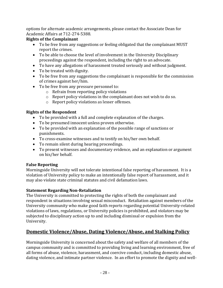options for alternate academic arrangements, please contact the Associate Dean for Academic Affairs at 712-274-5388.

### **Rights of the Complainant**

- To be free from any suggestions or feeling obligated that the complainant MUST report the crimes.
- To be able to choose the level of involvement in the University Disciplinary proceedings against the respondent, including the right to an advocate.
- To have any allegations of harassment treated seriously and without judgment.
- To be treated with dignity.
- To be free from any suggestions the complainant is responsible for the commission of crimes against her/him.
- To be free from any pressure personnel to:
	- o Refrain from reporting policy violations
	- o Report policy violations in the complainant does not wish to do so.
	- o Report policy violations as lesser offenses.

#### **Rights of the Respondent**

- To be provided with a full and complete explanation of the charges.
- To be presumed innocent unless proven otherwise.
- To be provided with an explanation of the possible range of sanctions or punishments.
- To cross-examine witnesses and to testify on his/her own behalf.
- To remain silent during hearing proceedings.
- To present witnesses and documentary evidence, and an explanation or argument on his/her behalf.

#### **False Reporting**

Morningside University will not tolerate intentional false reporting of harassment. It is a violation of University policy to make an intentionally false report of harassment, and it may also violate state criminal statutes and civil defamation laws.

#### **Statement Regarding Non-Retaliation**

The University is committed to protecting the rights of both the complainant and respondent in situations involving sexual misconduct. Retaliation against members of the University community who make good faith reports regarding potential University-related violations of laws, regulations, or University policies is prohibited, and violators may be subjected to disciplinary action up to and including dismissal or expulsion from the University.

## **Domestic Violence/Abuse, Dating Violence/Abuse, and Stalking Policy**

Morningside University is concerned about the safety and welfare of all members of the campus community and is committed to providing living and learning environment, free of all forms of abuse, violence, harassment, and coercive conduct, including domestic abuse, dating violence, and intimate partner violence. In an effort to promote the dignity and well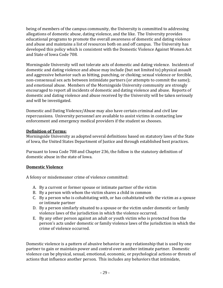being of members of the campus community, the University is committed to addressing allegations of domestic abuse, dating violence, and the like. The University provides educational programs to promote the overall awareness of domestic and dating violence and abuse and maintains a list of resources both on and off campus. The University has developed this policy which is consistent with the Domestic Violence Against Women Act and State of Iowa Code 708.

Morningside University will not tolerate acts of domestic and dating violence. Incidents of domestic and dating violence and abuse may include (but not limited to) physical assault and aggressive behavior such as hitting, punching, or choking; sexual violence or forcible, non-consensual sex acts between intimidate partners (or attempts to commit the same); and emotional abuse. Members of the Morningside University community are strongly encouraged to report all incidents of domestic and dating violence and abuse. Reports of domestic and dating violence and abuse received by the University will be taken seriously and will be investigated.

Domestic and Dating Violence/Abuse may also have certain criminal and civil law repercussions. University personnel are available to assist victims in contacting law enforcement and emergency medical providers if the student so chooses.

#### **Definition of Terms:**

Morningside University as adopted several definitions based on statutory laws of the State of Iowa, the United States Department of Justice and through established best practices.

Pursuant to Iowa Code 708 and Chapter 236, the follow is the statutory definition of domestic abuse in the state of Iowa.

#### **Domestic Violence**

A felony or misdemeanor crime of violence committed:

- A. By a current or former spouse or intimate partner of the victim
- B. By a person with whom the victim shares a child in common
- C. By a person who is cohabitating with, or has cohabitated with the victim as a spouse or intimate partner
- D. By a person similarly situated to a spouse or the victim under domestic or family violence laws of the jurisdiction in which the violence occurred.
- E. By any other person against an adult or youth victim who is protected from the person's acts under domestic or family violence laws of the jurisdiction in which the crime of violence occurred.

Domestic violence is a pattern of abusive behavior in any relationship that is used by one partner to gain or maintain power and control over another intimate partner. Domestic violence can be physical, sexual, emotional, economic, or psychological actions or threats of actions that influence another person. This includes any behaviors that intimidate,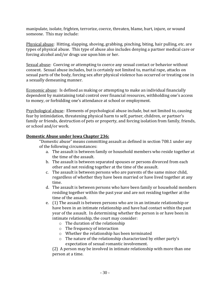manipulate, isolate, frighten, terrorize, coerce, threaten, blame, hurt, injure, or wound someone. This may include:

Physical abuse: Hitting, slapping, shoving, grabbing, pinching, biting, hair pulling, etc. are types of physical abuse. This type of abuse also includes denying a partner medical care or forcing alcohol and/or drugs use upon him or her.

Sexual abuse: Coercing or attempting to coerce any sexual contact or behavior without consent. Sexual abuse includes, but is certainly not limited to, marital rape, attacks on sexual parts of the body, forcing sex after physical violence has occurred or treating one in a sexually demeaning manner.

Economic abuse: Is defined as making or attempting to make an individual financially dependent by maintaining total control over financial resources, withholding one's access to money, or forbidding one's attendance at school or employment.

Psychological abuse: Elements of psychological abuse include, but not limited to, causing fear by intimidation, threatening physical harm to self, partner, children, or partner's family or friends, destruction of pets or property, and forcing isolation from family, friends, or school and/or work.

#### **Domestic Abuse under Iowa Chapter 236:**

"Domestic abuse" means committing assault as defined in section 708.1 under any of the following circumstances:

- a. The assault is between family or household members who reside together at the time of the assault.
- b. The assault is between separated spouses or persons divorced from each other and not residing together at the time of the assault.
- c. The assault is between persons who are parents of the same minor child, regardless of whether they have been married or have lived together at any time.
- d. The assault is between persons who have been family or household members residing together within the past year and are not residing together at the time of the assault.
- e. (1) The assault is between persons who are in an intimate relationship or have been in an intimate relationship and have had contact within the past year of the assault. In determining whether the person is or have been in intimate relationship, the court may consider:
	- o The duration of the relationship
	- o The frequency of interaction
	- o Whether the relationship has been terminated
	- o The nature of the relationship characterized by either party's expectation of sexual romantic involvement.

(2) A person may be involved in intimate relationship with more than one person at a time.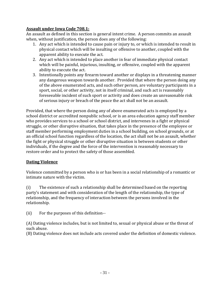#### **Assault under Iowa Code 708.1:**

An assault as defined in this section is general intent crime. A person commits an assault when, without justification, the person does any of the following:

- 1. Any act which is intended to cause pain or injury to, or which is intended to result in physical contact which will be insulting or offensive to another, coupled with the apparent ability to execute the act.
- 2. Any act which is intended to place another in fear of immediate physical contact which will be painful, injurious, insulting, or offensive, coupled with the apparent ability to execute the act.
- 3. Intentionally points any firearm toward another or displays in a threatening manner any dangerous weapon towards another. Provided that where the person doing any of the above enumerated acts, and such other person, are voluntary participants in a sport, social, or other activity, not in itself criminal, and such act is reasonably foreseeable incident of such sport or activity and does create an unreasonable risk of serious injury or breach of the peace the act shall not be an assault.

Provided, that where the person doing any of above enumerated acts is employed by a school district or accredited nonpublic school, or is an area education agency staff member who provides services to a school or school district, and intervenes in a fight or physical struggle, or other disruptive situation, that takes place in the presence of the employee or staff member performing employment duties in a school building, on school grounds, or at an official school function regardless of the location, the act shall not be an assault, whether the fight or physical struggle or other disruptive situation is between students or other individuals, if the degree and the force of the intervention is reasonably necessary to restore order and to protect the safety of those assembled.

#### **Dating Violence**

Violence committed by a person who is or has been in a social relationship of a romantic or intimate nature with the victim.

(i) The existence of such a relationship shall be determined based on the reporting party's statement and with consideration of the length of the relationship, the type of relationship, and the frequency of interaction between the persons involved in the relationship.

(ii) For the purposes of this definition--

(A) Dating violence includes, but is not limited to, sexual or physical abuse or the threat of such abuse.

(B) Dating violence does not include acts covered under the definition of domestic violence.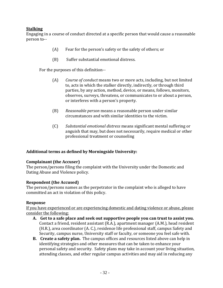#### **Stalking**

Engaging in a course of conduct directed at a specific person that would cause a reasonable person to--

- (A) Fear for the person's safety or the safety of others; or
- (B) Suffer substantial emotional distress.

For the purposes of this definition--

- (A) *Course of conduct* means two or more acts, including, but not limited to, acts in which the stalker directly, indirectly, or through third parties, by any action, method, device, or means, follows, monitors, observes, surveys, threatens, or communicates to or about a person, or interferes with a person's property.
- (B) *Reasonable person* means a reasonable person under similar circumstances and with similar identities to the victim.
- (C) *Substantial emotional distress* means significant mental suffering or anguish that may, but does not necessarily, require medical or other professional treatment or counseling

#### **Additional terms as defined by Morningside University:**

#### **Complainant (the Accuser)**

The person/persons filing the complaint with the University under the Domestic and Dating Abuse and Violence policy.

#### **Respondent (the Accused)**

The person/persons names as the perpetrator in the complaint who is alleged to have committed an act in violation of this policy.

#### **Response**

If you have experienced or are experiencing domestic and dating violence or abuse, please consider the following:

- **A. Get to a safe place and seek out supportive people you can trust to assist you.** Contact a friend, resident assistant (R.A.), apartment manager (A.M.), head resident (H.R.), area coordinator (A. C.), residence life professional staff, campus Safety and Security, campus nurse, University staff or faculty, or someone you feel safe with.
- **B. Create a safety plan.** The campus offices and resources listed above can help in identifying strategies and other measures that can be taken to enhance your personal safety and security. Safety plans may take in account your living situation, attending classes, and other regular campus activities and may aid in reducing any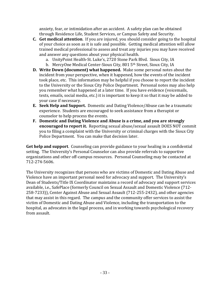anxiety, fear, or intimidation after an accident. A safety plan can be obtained through Residence Life, Student Services, or Campus Safety and Security.

- **C. Get medical attention**. If you are injured, you should consider going to the hospital of your choice as soon as it is safe and possible. Getting medical attention will allow trained medical professional to assess and treat any injuries you may have received and answer any questions about your physical health.
	- a. UnityPoint Health-St. Luke's, 2720 Stone Park Blvd. Sioux City, IA
	- b. MercyOne Medical Center-Sioux City, 801 5<sup>th</sup> Street, Sioux City, IA
- **D. Write Down (document) what happened.** Make some personal notes about the incident from your perspective, when it happened, how the events of the incident took place, etc. This information may be helpful if you choose to report the incident to the University or the Sioux City Police Department. Personal notes may also help you remember what happened at a later time. If you have evidence (voicemails, texts, emails, social media, etc.) it is important to keep it so that it may be added to your case if necessary.
- **E. Seek Help and Support.** Domestic and Dating Violence/Abuse can be a traumatic experience. Students are encouraged to seek assistance from a therapist or counselor to help process the events.
- **F. Domestic and Dating Violence and Abuse is a crime, and you are strongly encouraged to report it.** Reporting sexual abuse/sexual assault DOES NOT commit you to filing a complaint with the University or criminal charges with the Sioux City Police Department. You can make that decision later.

**Get help and support**. Counseling can provide guidance to your healing in a confidential setting. The University's Personal Counselor can also provide referrals to supportive organizations and other off-campus resources. Personal Counseling may be contacted at 712-274-5606.

The University recognizes that persons who are victims of Domestic and Dating Abuse and Violence have an important personal need for advocacy and support. The University's Dean of Students/Title IX Coordinator maintains a record of advocacy and support services available, i.e., SafePlace (formerly Council on Sexual Assault and Domestic Violence (712- 258-7233)), Center Against Abuse and Sexual Assault (712-255-2432), and other agencies that may assist in this regard. The campus and the community offer services to assist the victim of Domestic and Dating Abuse and Violence, including the transportation to the hospital, as advocates in the legal process, and in working towards psychological recovery from assault.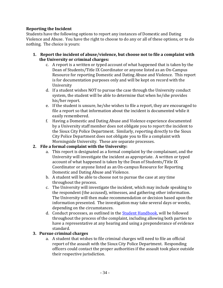#### **Reporting the Incident**

Students have the following options to report any instances of Domestic and Dating Violence and Abuse. You have the right to choose to do any or all of these options, or to do nothing. The choice is yours:

- **1. Report the incident of abuse/violence, but choose not to file a complaint with the University or criminal charges:**
	- c. A report is a written or typed account of what happened that is taken by the Dean of Students/Title IX Coordinator or anyone listed as an On-Campus Resource for reporting Domestic and Dating Abuse and Violence. This report is for documentation purposes only and will be kept on record with the University
	- d. If a student wishes NOT to pursue the case through the University conduct system, the student will be able to determine that when he/she provides his/her report.
	- e. If the student is unsure, he/she wishes to file a report, they are encouraged to file a report so that information about the incident is documented while it easily remembered.
	- f. Having a Domestic and Dating Abuse and Violence experience documented by a University staff member does not obligate you to report the incident to the Sioux City Police Department. Similarly, reporting directly to the Sioux City Police Department does not obligate you to file a complaint with Morningside University. These are separate processes.

#### **2. File a formal complaint with the University:**

- a. This report is designated as a formal complaint by the complainant, and the University will investigate the incident as appropriate. A written or typed account of what happened is taken by the Dean of Students/Title IX Coordinator or anyone listed as an On-campus Resource for Reporting Domestic and Dating Abuse and Violence.
- b. A student will be able to choose not to pursue the case at any time throughout the process.
- c. The University will investigate the incident, which may include speaking to the respondent (the accused), witnesses, and gathering other information. The University will then make recommendation or decision based upon the information presented. The investigation may take several days or weeks, depending on the circumstances.
- d. Conduct processes, as outlined in the **Student Handbook**, will be followed throughout the process of the complaint, including allowing both parties to have a representative at any hearing and using a preponderance of evidence standard.

#### **3. Pursue criminal charges**

a. A student that wishes to file criminal charges will need to file an official report of the assault with the Sioux City Police Department. Responding officers could contact the proper authorities if the assault took place outside their respective jurisdiction.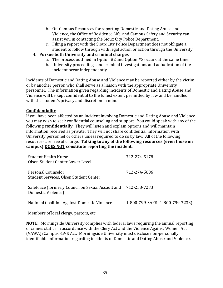- b. On-Campus Resources for reporting Domestic and Dating Abuse and Violence, the Office of Residence Life, and Campus Safety and Security can assist you in contacting the Sioux City Police Department.
- c. Filing a report with the Sioux City Police Department does not obligate a student to follow through with legal action or action through the University.
- **4. Pursue both University and criminal charges**
	- a. The process outlined in Option #2 and Option #3 occurs at the same time.
	- b. University proceedings and criminal investigations and adjudication of the incident occur independently.

Incidents of Domestic and Dating Abuse and Violence may be reported either by the victim or by another person who shall serve as a liaison with the appropriate University personnel. The information given regarding incidents of Domestic and Dating Abuse and Violence will be kept confidential to the fullest extent permitted by law and be handled with the student's privacy and discretion in mind.

#### **Confidentiality**

If you have been affected by an incident involving Domestic and Dating Abuse and Violence you may wish to seek confidential counseling and support. You could speak with any of the following **confidentially**. They will listen and explain options and will maintain information received as private. They will not share confidential information with University personnel or others unless required to do so by law. All of the following resources are free of charge. **Talking to any of the following resources (even those on campus) DOES NOT constitute reporting the incident.** 

| <b>Student Health Nurse</b><br>Olsen Student Center Lower Level         | 712-274-5178                    |
|-------------------------------------------------------------------------|---------------------------------|
| Personal Counselor<br>Student Services, Olsen Student Center            | 712-274-5606                    |
| SafePlace (formerly Council on Sexual Assault and<br>Domestic Violence) | 712-258-7233                    |
| National Coalition Against Domestic Violence                            | 1-800-799-SAFE (1-800-799-7233) |

Members of local clergy, pastors, etc.

**NOTE**: Morningside University complies with federal laws requiring the annual reporting of crimes statics in accordance with the Clery Act and the Violence Against Women Act (VAWA)/Campus SaVE Act. Morningside University must disclose non-personally identifiable information regarding incidents of Domestic and Dating Abuse and Violence.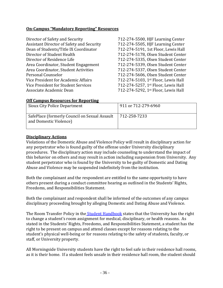#### **On-Campus "Mandatory Reporting" Resources**

| Director of Safety and Security                  | 712-274-5500, HJF Learning Center   |
|--------------------------------------------------|-------------------------------------|
| <b>Assistant Director of Safety and Security</b> | 712-274-5505, HJF Learning Center   |
| Dean of Students/Title IX Coordinator            | 712-274-5191, 1st Floor, Lewis Hall |
| Director of Student Health                       | 712-274-5178, Olsen Student Center  |
| Director of Residence Life                       | 712-274-5335, Olsen Student Center  |
| Area Coordinator, Student Engagement             | 712-274-5339, Olsen Student Center  |
| Area Coordinator, Student Activities             | 712-274-5337, Olsen Student Center  |
| Personal Counselor                               | 712-274-5606, Olsen Student Center  |
| Vice President for Academic Affairs              | 712-274-5103, 1st Floor, Lewis Hall |
| Vice President for Student Services              | 712-274-5257, 1st Floor, Lewis Hall |
| Associate Academic Dean                          | 712-274-5292, 1st Floor, Lewis Hall |

#### **Off Campus Resources for Reporting**

| <b>Sioux City Police Department</b>                                     | 911 or 712-279-6960 |
|-------------------------------------------------------------------------|---------------------|
| SafePlace (formerly Council on Sexual Assault<br>and Domestic Violence) | 712-258-7233        |

#### **Disciplinary Actions**

Violations of the Domestic Abuse and Violence Policy will result in disciplinary action for any perpetrator who is found guilty of the offense under University disciplinary procedures. The disciplinary action may include counseling to understand the impact of this behavior on others and may result in action including suspension from University. Any student perpetrator who is found by the University to be guilty of Domestic and Dating Abuse and Violence may be suspended indefinitely from the institution.

Both the complainant and the respondent are entitled to the same opportunity to have others present during a conduct committee hearing as outlined in the Students' Rights, Freedoms, and Responsibilities Statement.

Both the complainant and respondent shall be informed of the outcomes of any campus disciplinary proceeding brought by alleging Domestic and Dating Abuse and Violence.

The Room Transfer Policy in the [Student Handbook](https://my.morningside.edu/campus_offices/student_life/student_handbook) states that the University has the right to change a student's room assignment for medical, disciplinary, or health reasons. As stated in the Students' Rights, Freedoms, and Responsibilities Statement, a student has the right to be present on campus and attend classes except for reasons relating to the student's physical well-being or for reasons relating to the safety of students, faculty, or staff, or University property.

All Morningside University students have the right to feel safe in their residence hall rooms, as it is their home. If a student feels unsafe in their residence hall room, the student should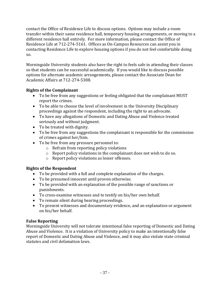contact the Office of Residence Life to discuss options. Options may include a room transfer within their same residence hall, temporary housing arrangements, or moving to a different residence hall entirely. For more information, please contact the Office of Residence Life at 712-274-5161. Offices as On-Campus Resources can assist you in contacting Residence Life to explore housing options if you do not feel comfortable doing so.

Morningside University students also have the right to feels safe in attending their classes so that students can be successful academically. If you would like to discuss possible options for alternate academic arrangements, please contact the Associate Dean for Academic Affairs at 712-274-5388.

#### **Rights of the Complainant**

- To be free from any suggestions or feeling obligated that the complainant MUST report the crimes.
- To be able to choose the level of involvement in the University Disciplinary proceedings against the respondent, including the right to an advocate.
- To have any allegations of Domestic and Dating Abuse and Violence treated seriously and without judgment.
- To be treated with dignity.
- To be free from any suggestions the complainant is responsible for the commission of crimes against her/him.
- To be free from any pressure personnel to:
	- o Refrain from reporting policy violations
	- o Report policy violations in the complainant does not wish to do so.
	- o Report policy violations as lesser offenses.

#### **Rights of the Respondent**

- To be provided with a full and complete explanation of the charges.
- To be presumed innocent until proven otherwise.
- To be provided with an explanation of the possible range of sanctions or punishments.
- To cross-examine witnesses and to testify on his/her own behalf.
- To remain silent during hearing proceedings.
- To present witnesses and documentary evidence, and an explanation or argument on his/her behalf.

#### **False Reporting**

Morningside University will not tolerate intentional false reporting of Domestic and Dating Abuse and Violence. It is a violation of University policy to make an intentionally false report of Domestic and Dating Abuse and Violence, and it may also violate state criminal statutes and civil defamation laws.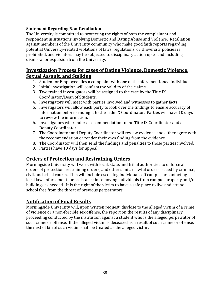#### **Statement Regarding Non-Retaliation**

The University is committed to protecting the rights of both the complainant and respondent in situations involving Domestic and Dating Abuse and Violence. Retaliation against members of the University community who make good faith reports regarding potential University-related violations of laws, regulations, or University policies is prohibited, and violators may be subjected to disciplinary action up to and including dismissal or expulsion from the University.

## **Investigation Process for cases of Dating Violence, Domestic Violence, Sexual Assault, and Stalking**

- 1. Student or Employee files a complaint with one of the aforementioned individuals.
- 2. Initial investigation will confirm the validity of the claims
- 3. Two trained investigators will be assigned to the case by the Title IX Coordinator/Dean of Students.
- 4. Investigators will meet with parties involved and witnesses to gather facts.
- 5. Investigators will allow each party to look over the findings to ensure accuracy of information before sending it to the Title IX Coordinator. Parties will have 10 days to review the information.
- 6. Investigators will render a recommendation to the Title IX Coordinator and a Deputy Coordinator.
- 7. The Coordinator and Deputy Coordinator will review evidence and either agree with the recommendation or render their own finding from the evidence.
- 8. The Coordinator will then send the findings and penalties to those parties involved.
- 9. Parties have 10 days for appeal.

## **Orders of Protection and Restraining Orders**

Morningside University will work with local, state, and tribal authorities to enforce all orders of protection, restraining orders, and other similar lawful orders issued by criminal, civil, and tribal courts. This will include escorting individuals off campus or contacting local law enforcement for assistance in removing individuals from campus property and/or buildings as needed. It is the right of the victim to have a safe place to live and attend school free from the threat of previous perpetrators.

## **Notification of Final Results**

Morningside University will, upon written request, disclose to the alleged victim of a crime of violence or a non-forcible sex offense, the report on the results of any disciplinary proceeding conducted by the institution against a student who is the alleged perpetrator of such crime or offense. If the alleged victim is deceased as a result of such crime or offense, the next of kin of such victim shall be treated as the alleged victim.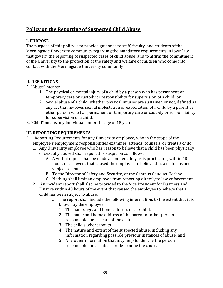## **Policy on the Reporting of Suspected Child Abuse**

#### **I. PURPOSE**

The purpose of this policy is to provide guidance to staff, faculty, and students of the Morningside University community regarding the mandatory requirements in Iowa law that govern the reporting of suspected cases of child abuse; and to affirm the commitment of the University to the protection of the safety and welfare of children who come into contact with the Morningside University community.

#### **II. DEFINITIONS**

A. "Abuse" means:

- 1. The physical or mental injury of a child by a person who has permanent or temporary care or custody or responsibility for supervision of a child; or
- 2. Sexual abuse of a child, whether physical injuries are sustained or not, defined as any act that involves sexual molestation or exploitation of a child by a parent or other person who has permanent or temporary care or custody or responsibility for supervision of a child.
- B. "Child" means any individual under the age of 18 years.

#### **III. REPORTING REQUIREMENTS**

- A. Reporting Requirements for any University employee, who in the scope of the employee's employment responsibilities examines, attends, counsels, or treats a child.
	- 1. Any University employee who has reason to believe that a child has been physically or sexually abused shall report this suspicion as follows:
		- A. A verbal report shall be made as immediately as is practicable, within 48 hours of the event that caused the employee to believe that a child has been subject to abuse:
		- B. To the Director of Safety and Security, or the Campus Conduct Hotline.
		- C. Nothing shall limit an employee from reporting directly to law enforcement.
	- 2. An incident report shall also be provided to the Vice President for Business and Finance within 48 hours of the event that caused the employee to believe that a child has been subject to abuse.
		- a. The report shall include the following information, to the extent that it is known by the employee:
			- 1. The name, age, and home address of the child.
			- 2. The name and home address of the parent or other person responsible for the care of the child.
			- 3. The child's whereabouts.
			- 4. The nature and extent of the suspected abuse, including any information regarding possible previous instances of abuse; and
			- 5. Any other information that may help to identify the person responsible for the abuse or determine the cause.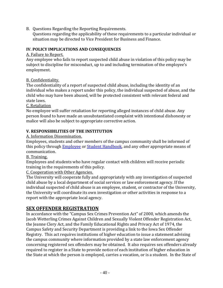B. Questions Regarding the Reporting Requirements.

Questions regarding the applicability of these requirements to a particular individual or situation may be directed to Vice President for Business and Finance.

#### **IV. POLICY IMPLICATIONS AND CONSEQUENCES**

#### A. Failure to Report.

Any employee who fails to report suspected child abuse in violation of this policy may be subject to discipline for misconduct, up to and including termination of the employee's employment.

B. Confidentiality.

The confidentiality of a report of suspected child abuse, including the identity of an individual who makes a report under this policy, the individual suspected of abuse, and the child who may have been abused, will be protected consistent with relevant federal and state laws.

C. Retaliation

No employee will suffer retaliation for reporting alleged instances of child abuse. Any person found to have made an unsubstantiated complaint with intentional dishonesty or malice will also be subject to appropriate corrective action.

#### **V. RESPONSIBILITIES OF THE INSTITUTION**

A. Information Dissemination.

Employees, students and other members of the campus community shall be informed of this policy through **Employee** or **Student Handbook**, and any other appropriate means of communication.

B. Training.

Employees and students who have regular contact with children will receive periodic training in the requirements of this policy.

C. Cooperation with Other Agencies.

The University will cooperate fully and appropriately with any investigation of suspected child abuse by a local department of social services or law enforcement agency. If the individual suspected of child abuse is an employee, student, or contractor of the University, the University will coordinate its own investigation or other activities in response to a report with the appropriate local agency.

## **SEX OFFENDER REGISTRATION**

In accordance with the "Campus Sex Crimes Prevention Act" of 2000, which amends the Jacob Wetterling Crimes Against Children and Sexually Violent Offender Registration Act, the Jeanne Clery Act, and the Family Educational Rights and Privacy Act of 1974, the Campus Safety and Security Department is providing a link to the Iowa Sex Offender Registry. This act requires institutions of higher education to issue a statement advising the campus community where information provided by a state law enforcement agency concerning registered sex offenders may be obtained. It also requires sex offenders already required to register in a State to provide notice of each institution of higher education in the State at which the person is employed, carries a vocation, or is a student. In the State of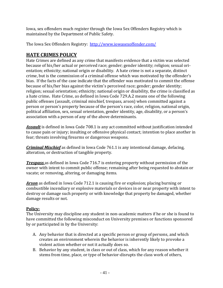Iowa, sex offenders much register through the Iowa Sex Offenders Registry which is maintained by the Department of Public Safety.

The Iowa Sex Offenders Registry: <http://www.iowasexoffender.com/>

## **HATE CRIMES POLICY**

Hate Crimes are defined as any crime that manifests evidence that a victim was selected because of his/her actual or perceived race; gender; gender identity; religion; sexual orientation; ethnicity; national origin or disability. A hate crime is not a separate, distinct crime, but is the commission of a criminal offense which was motivated by the offender's bias. If the facts of the case indicate that the offender was motivated to commit the offense because of his/her bias against the victim's perceived race; gender; gender identity; religion; sexual orientation; ethnicity; national origin or disability, the crime is classified as a hate crime**.** Hate Crime, as defined in Iowa Code 729.A.2 means one of the following public offenses (assault, criminal mischief, trespass, arson) when committed against a person or person's property because of the person's race, color, religion, national origin, political affiliation, sex, sexual orientation, gender identity, age, disability, or a person's association with a person of any of the above determinants.

*Assault* is defined in Iowa Code 708.1 is any act committed without justification intended to cause pain or injury; insulting or offensive physical contact; intention to place another in fear; threats involving firearms or dangerous weapons.

*Criminal Mischief* as defined in Iowa Code 761.1 is any intentional damage, defacing, alteration, or destruction of tangible property.

*Trespass* as defined in Iowa Code 716.7 is entering property without permission of the owner with intent to commit public offense; remaining after being requested to abstain or vacate; or removing, altering, or damaging items.

*Arson* as defined in Iowa Code 712.1 is causing fire or explosion; placing burning or combustible incendiary or explosive materials or devices in or near property with intent to destroy or damage such property or with knowledge that property be damaged, whether damage results or not.

#### **Policy:**

The University may discipline any student in non-academic matters if he or she is found to have committed the following misconduct on University premises or functions sponsored by or participated in by the University:

- A. Any behavior that is directed at a specific person or group of persons, and which creates an environment wherein the behavior is inherently likely to provoke a violent action whether or not it actually does so.
- B. Behavior by any student, in class or out of class, which for any reason whether it stems from time, place, or type of behavior-disrupts the class work of others,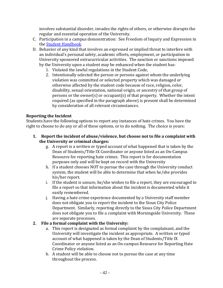involves substantial disorder, invades the rights of others, or otherwise disrupts the regular and essential operation of the University.

- C. Participation in a campus demonstration: See Freedom of Inquiry and Expression in the [Student Handbook.](https://my.morningside.edu/campus_offices/student_life/student_handbook)
- D. Behavior of any kind that involves an expressed or implied threat to interfere with an individual's personal safety, academic efforts, employment, or participation in University sponsored extracurricular activities. The sanction or sanctions imposed by the University upon a student may be enhanced when the student has:
	- 1. Violated the lawful regulations in the Student Code,
	- 2. Intentionally selected the person or persons against whom the underlying violation was committed or selected property which was damaged or otherwise affected by the student code because of race, religion, color, disability, sexual orientation, national origin, or ancestry of that group of persons or the owner(s) or occupant(s) of that property. Whether the intent required (as specified in the paragraph above) is present shall be determined by consideration of all relevant circumstances.

#### **Reporting the Incident**

Students have the following options to report any instances of hate crimes. You have the right to choose to do any or all of these options, or to do nothing. The choice is yours:

- **1. Report the incident of abuse/violence, but choose not to file a complaint with the University or criminal charges:**
	- g. A report is a written or typed account of what happened that is taken by the Dean of Students/Title IX Coordinator or anyone listed as an On-Campus Resource for reporting hate crimes. This report is for documentation purposes only and will be kept on record with the University
	- h. If a student chooses NOT to pursue the case through the University conduct system, the student will be able to determine that when he/she provides his/her report.
	- i. If the student is unsure, he/she wishes to file a report, they are encouraged to file a report so that information about the incident is documented while it easily remembered.
	- j. Having a hate crime experience documented by a University staff member does not obligate you to report the incident to the Sioux City Police Department. Similarly, reporting directly to the Sioux City Police Department does not obligate you to file a complaint with Morningside University. These are separate processes.

#### **2. File a formal complaint with the University:**

- a. This report is designated as formal complaint by the complainant, and the University will investigate the incident as appropriate. A written or typed account of what happened is taken by the Dean of Students/Title IX Coordinator or anyone listed as an On-campus Resource for Reporting Hate Crime Policy violation.
- b. A student will be able to choose not to pursue the case at any time throughout the process.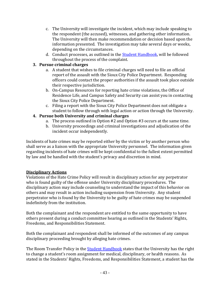- c. The University will investigate the incident, which may include speaking to the respondent (the accused), witnesses, and gathering other information. The University will then make recommendation or decision based upon the information presented. The investigation may take several days or weeks, depending on the circumstances.
- d. Conduct processes, as outlined in th[e Student Handbook,](https://my.morningside.edu/campus_offices/student_life/student_handbook/) will be followed throughout the process of the complaint.

#### **3. Pursue criminal charges**

- a. A student that wishes to file criminal charges will need to file an official report of the assault with the Sioux City Police Department. Responding officers could contact the proper authorities if the assault took place outside their respective jurisdiction.
- b. On-Campus Resources for reporting hate crime violations, the Office of Residence Life, and Campus Safety and Security can assist you in contacting the Sioux City Police Department.
- c. Filing a report with the Sioux City Police Department does not obligate a student to follow through with legal action or action through the University.

#### **4. Pursue both University and criminal charges**

- a. The process outlined in Option #2 and Option #3 occurs at the same time.
- b. University proceedings and criminal investigations and adjudication of the incident occur independently.

Incidents of hate crimes may be reported either by the victim or by another person who shall serve as a liaison with the appropriate University personnel. The information given regarding incidents of hate crimes will be kept confidential to the fullest extent permitted by law and be handled with the student's privacy and discretion in mind.

#### **Disciplinary Actions**

Violations of the Hate Crime Policy will result in disciplinary action for any perpetrator who is found guilty of the offense under University disciplinary procedures. The disciplinary action may include counseling to understand the impact of this behavior on others and may result in action including suspension from University. Any student perpetrator who is found by the University to be guilty of hate crimes may be suspended indefinitely from the institution.

Both the complainant and the respondent are entitled to the same opportunity to have others present during a conduct committee hearing as outlined in the Students' Rights, Freedoms, and Responsibilities Statement.

Both the complainant and respondent shall be informed of the outcomes of any campus disciplinary proceeding brought by alleging hate crimes.

The Room Transfer Policy in the **Student Handbook** states that the University has the right to change a student's room assignment for medical, disciplinary, or health reasons. As stated in the Students' Rights, Freedoms, and Responsibilities Statement, a student has the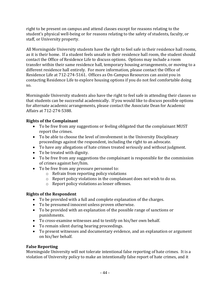right to be present on campus and attend classes except for reasons relating to the student's physical well-being or for reasons relating to the safety of students, faculty, or staff, or University property.

All Morningside University students have the right to feel safe in their residence hall rooms, as it is their home. If a student feels unsafe in their residence hall room, the student should contact the Office of Residence Life to discuss options. Options may include a room transfer within their same residence hall, temporary housing arrangements, or moving to a different residence hall entirely. For more information, please contact the Office of Residence Life at 712-274-5161. Offices as On-Campus Resources can assist you in contacting Residence Life to explore housing options if you do not feel comfortable doing so.

Morningside University students also have the right to feel safe in attending their classes so that students can be successful academically. If you would like to discuss possible options for alternate academic arrangements, please contact the Associate Dean for Academic Affairs at 712-274-5388.

#### **Rights of the Complainant**

- To be free from any suggestions or feeling obligated that the complainant MUST report the crimes.
- To be able to choose the level of involvement in the University Disciplinary proceedings against the respondent, including the right to an advocate.
- To have any allegations of hate crimes treated seriously and without judgment.
- To be treated with dignity.
- To be free from any suggestions the complainant is responsible for the commission of crimes against her/him.
- To be free from any pressure personnel to:
	- o Refrain from reporting policy violations
	- o Report policy violations in the complainant does not wish to do so.
	- o Report policy violations as lesser offenses.

#### **Rights of the Respondent**

- To be provided with a full and complete explanation of the charges.
- To be presumed innocent unless proven otherwise.
- To be provided with an explanation of the possible range of sanctions or punishments.
- To cross-examine witnesses and to testify on his/her own behalf.
- To remain silent during hearing proceedings.
- To present witnesses and documentary evidence, and an explanation or argument on his/her behalf.

#### **False Reporting**

Morningside University will not tolerate intentional false reporting of hate crimes. It is a violation of University policy to make an intentionally false report of hate crimes, and it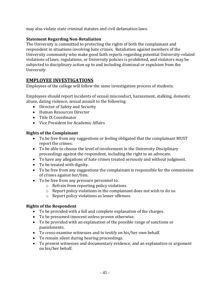may also violate state criminal statutes and civil defamation laws.

#### **Statement Regarding Non-Retaliation**

The University is committed to protecting the rights of both the complainant and respondent in situations involving hate crimes. Retaliation against members of the University community who make good faith reports regarding potential University-related violations of laws, regulations, or University policies is prohibited, and violators may be subjected to disciplinary action up to and including dismissal or expulsion from the University.

## **EMPLOYEE INVESTIGATIONS**

Employees of the college will follow the same investigation process of students.

Employees should report incidents of sexual misconduct, harassment, stalking, domestic abuse, dating violence, sexual assault to the following:

- Director of Safety and Security
- Human Resources Director
- Title IX Coordinator
- Vice President for Academic Affairs

#### **Rights of the Complainant**

- To be free from any suggestions or feeling obligated that the complainant MUST report the crimes.
- To be able to choose the level of involvement in the University Disciplinary proceedings against the respondent, including the right to an advocate.
- To have any allegations of hate crimes treated seriously and without judgment.
- To be treated with dignity.
- To be free from any suggestions the complainant is responsible for the commission of crimes against her/him.
- To be free from any pressure personnel to:
	- o Refrain from reporting policy violations
	- o Report policy violations in the complainant does not wish to do so.
	- o Report policy violations as lesser offenses.

#### **Rights of the Respondent**

- To be provided with a full and complete explanation of the charges.
- To be presumed innocent unless proven otherwise.
- To be provided with an explanation of the possible range of sanctions or punishments.
- To cross-examine witnesses and to testify on his/her own behalf.
- To remain silent during hearing proceedings.
- To present witnesses and documentary evidence, and an explanation or argument on his/her behalf.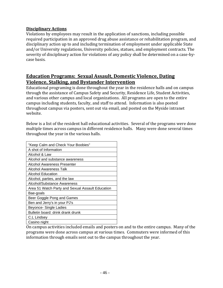#### **Disciplinary Actions**

Violations by employees may result in the application of sanctions, including possible required participation in an approved drug abuse assistance or rehabilitation program, and disciplinary action up to and including termination of employment under applicable State and/or University regulations, University policies, statues, and employment contracts. The severity of disciplinary action for violations of any policy shall be determined on a case-bycase basis.

## **Education Programs: Sexual Assault, Domestic Violence, Dating Violence, Stalking, and Bystander Intervention**

Educational programing is done throughout the year in the residence halls and on campus through the assistance of Campus Safety and Security, Residence Life, Student Activities, and various other campus and local organizations. All programs are open to the entire campus including students, faculty, and staff to attend. Information is also posted throughout campus via posters, sent out via email, and posted on the Myside intranet website.

Below is a list of the resident hall educational activities. Several of the programs were done multiple times across campus in different residence halls. Many were done several times throughout the year in the various halls.

| "Keep Calm and Check Your Boobies"               |
|--------------------------------------------------|
| A shot of Information                            |
| Alcohol & Law                                    |
| Alcohol and substance awareness                  |
| Alcohol Awareness Presenter                      |
| Alcohol Awareness Talk                           |
| Alcohol Education                                |
| Alcohol, parties, and the law                    |
| Alcohol/Substance Awareness                      |
| Area 51 Watch Party and Sexual Assault Education |
| Bae-goals                                        |
| Beer Goggle Pong and Games                       |
| Ben and Jerry's in your PJ's                     |
| Beyonce- Single Ladies                           |
| Bulletin board: drink drank drunk                |
| C.L Lindsey                                      |
| Casino night                                     |

On campus activities included emails and posters on and to the entire campus. Many of the programs were done across campus at various times. Commuters were informed of this information through emails sent out to the campus throughout the year.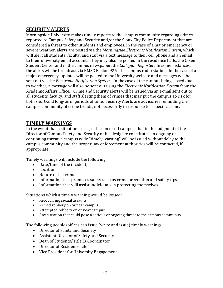#### **SECURITY ALERTS**

Morningside University makes timely reports to the campus community regarding crimes reported to Campus Safety and Security and/or the Sioux City Police Department that are considered a threat to other students and employees. In the case of a major emergency or severe weather, alerts are posted via the *Morningside Electronic Notification System*, which will alert all students, faculty, and staff via a text message to their cell phone and an email to their university email account. They may also be posted in the residence halls, the Olsen Student Center and in the campus newspaper, the *Collegian Reporter*. In some instances, the alerts will be broadcast via KMSC Fusion 92.9, the campus radio station. In the case of a major emergency, updates will be posted to the University website and messages will be sent out via the *Electronic Notification System*. In the case of the campus being closed due to weather, a message will also be sent out using the *Electronic Notification System* from the Academic Affairs Office. Crime and Security alerts will be issued via an e-mail sent out to all students, faculty, and staff alerting them of crimes that may put the campus at-risk for both short-and long-term periods of time. Security Alerts are advisories reminding the campus community of crime trends, not necessarily in response to a specific crime.

## **TIMELY WARNINGS**

In the event that a situation arises, either on or off campus, that in the judgment of the Director of Campus Safety and Security or his designee constitutes an ongoing or continuing threat, a campus wide "timely warning" will be issued without delay to the campus community and the proper law enforcement authorities will be contacted, if appropriate.

Timely warnings will include the following:

- Date/time of the incident,
- Location
- Nature of the crime
- Information that promotes safety such as crime prevention and safety tips
- Information that will assist individuals in protecting themselves

Situations which a timely warning would be issued:

- Reoccurring sexual assaults
- Armed robbery on or near campus
- Attempted robbery on or near campus
- Any situation that could pose a serious or ongoing threat to the campus community

The following people/offices can issue (write and issue) timely warnings:

- Director of Safety and Security
- Assistant Director of Safety and Security
- Dean of Students/Title IX Coordinator
- Director of Residence Life
- Vice President for University Engagement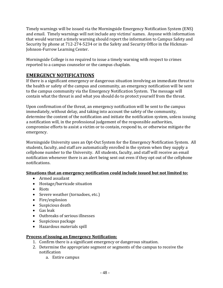Timely warnings will be issued via the Morningside Emergency Notification System (ENS) and email. Timely warnings will not include any victims' names. Anyone with information that would warrant a timely warning should report the information to Campus Safety and Security by phone at 712-274-5234 or in the Safety and Security Office in the Hickman-Johnson-Furrow Learning Center.

Morningside College is no required to issue a timely warning with respect to crimes reported to a campus counselor or the campus chaplain.

## **EMERGENCY NOTIFICATIONS**

If there is a significant emergency or dangerous situation involving an immediate threat to the health or safety of the campus and community, an emergency notification will be sent to the campus community via the Emergency Notification System. The message will contain what the threat is and what you should do to protect yourself from the threat.

Upon confirmation of the threat, an emergency notification will be sent to the campus immediately, without delay, and taking into account the safety of the community, determine the content of the notification and initiate the notification system, unless issuing a notification will, in the professional judgement of the responsible authorities, compromise efforts to assist a victim or to contain, respond to, or otherwise mitigate the emergency.

Morningside University uses an Opt-Out System for the Emergency Notification System. All students, faculty, and staff are automatically enrolled in the system when they supply a cellphone number to the University. All students, faculty, and staff will receive an email notification whenever there is an alert being sent out even if they opt out of the cellphone notifications.

#### **Situations that an emergency notification could include issued but not limited to:**

- Armed assailant
- Hostage/barricade situation
- Riots
- Severe weather (tornadoes, etc.)
- Fire/explosion
- Suspicious death
- Gas leak
- Outbreaks of serious illnesses
- Suspicious package
- Hazardous materials spill

#### **Process of issuing an Emergency Notification:**

- 1. Confirm there is a significant emergency or dangerous situation.
- 2. Determine the appropriate segment or segments of the campus to receive the notification
	- a. Entire campus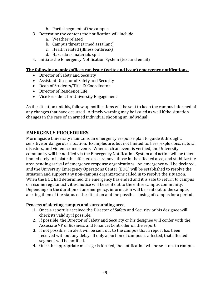- b. Partial segment of the campus
- 3. Determine the content the notification will include
	- a. Weather related
	- b. Campus threat (armed assailant)
	- c. Health related (illness outbreak)
	- d. Hazardous materials spill
- 4. Initiate the Emergency Notification System (text and email)

#### **The following people/offices can issue (write and issue) emergency notifications:**

- Director of Safety and Security
- Assistant Director of Safety and Security
- Dean of Students/Title IX Coordinator
- Director of Residence Life
- Vice President for University Engagement

As the situation unfolds, follow up notifications will be sent to keep the campus informed of any changes that have occurred. A timely warning may be issued as well if the situation changes in the case of an armed individual shooting an individual.

## **EMERGENCY PROCEDURES**

Morningside University maintains an emergency response plan to guide it through a sensitive or dangerous situation. Examples are, but not limited to, fires, explosions, natural disasters, and violent crime events. When such an event is verified, the University community will be notified via the Emergency Notification System and action will be taken immediately to isolate the affected area, remove those in the affected area, and stabilize the area pending arrival of emergency response organizations. An emergency will be declared, and the University Emergency Operations Center (EOC) will be established to resolve the situation and support any non-campus organizations called in to resolve the situation. When the EOC had determined the emergency has ended and it is safe to return to campus or resume regular activities, notice will be sent out to the entire campus community. Depending on the duration of an emergency, information will be sent out to the campus alerting them of the status of the situation and the possible closing of campus for a period.

#### **Process of alerting campus and surrounding area**

- **1.** Once a report is received the Director of Safety and Security or his designee will check its validity if possible.
- **2.** If possible, the Director of Safety and Security or his designee will confer with the Associate VP of Business and Finance/Controller on the report.
- **3.** If not possible, an alert will be sent out to the campus that a report has been received without any delay. If only a portion of campus is affected, that affected segment will be notified.
- **4.** Once the appropriate message is formed, the notification will be sent out to campus.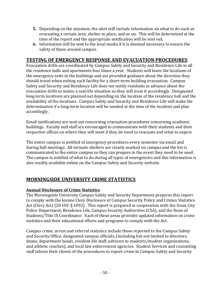- **5.** Depending on the situation, the alert will include information on what to do such as evacuating a certain area, shelter in place, and so on. This will be determined at the time of the report and the appropriate notification will be sent out.
- **6.** Information will be sent to the local media if it is deemed necessary to ensure the safety of those around campus.

## **TESTING OF EMERGENCY RESPONSE AND EVACUATION PROCEDURES**

Evacuation drills are coordinated by Campus Safety and Security and Residence Life in all the residence halls and apartments four times a year. Students will learn the locations of the emergency exits in the buildings and are provided guidance about the direction they should travel when exiting each facility for a short-term building evacuation. Campus Safety and Security and Residence Life does not notify residents in advance about the evacuation drills to mimic a real-life situation so they will treat it accordingly. Designated long-term locations are planned out depending on the location of the residence hall and the availability of the locations. Campus Safety and Security and Residence Life will make the determination if a long-term location will be needed at the time of the incident and plan accordingly.

Email notifications are sent out concerning evacuation procedures concerning academic buildings. Faculty and staff are encouraged to communicate with their students and their respective offices on where they will meet if they do need to evacuate and what to expect.

The entire campus is notified of emergency procedures every semester via email and during hall meetings. All tornado shelters are clearly marked on campus and the list is communicated to the entire campus so they can prepare in the event they need to be used. The campus is notified of what to do during all types of emergencies and this information is also readily available online on the Campus Safety and Security website.

## **MORNINGSIDE UNIVERSITY CRIME STATISTICS**

#### **Annual Disclosure of Crime Statistics**

The Morningside University Campus Safety and Security Department prepares this report to comply with the Jeanne Clery Disclosure of Campus Security Policy and Crimes Statistics Act (Clery Act) (20 USC § 1092). This report is prepared in cooperation with the Sioux City Police Department, Residence Life, Campus Security Authorities (CSA), and the Dean of Students/Title IX Coordinator. Each of these areas provides updated information on crime statistics and their educational efforts and programs to comply with the Act.

Campus crime, arrest and referral statistics include those reported to the Campus Safety and Security Office, designated campus officials, (including but not limited to directors, deans, department heads, resident life staff, advisors to students/student organizations, and athletic coaches), and local law enforcement agencies. Student Services and counseling staff inform their clients of the procedures to report crime to Campus Safety and Security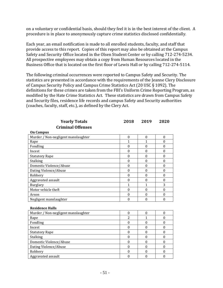on a voluntary or confidential basis, should they feel it is in the best interest of the client. A procedure is in place to anonymously capture crime statistics disclosed confidentially.

Each year, an email notification is made to all enrolled students, faculty, and staff that provide access to this report. Copies of this report may also be obtained at the Campus Safety and Security Office located in the Olsen Student Center or by calling 712-274-5234. All prospective employees may obtain a copy from Human Resources located in the Business Office that is located on the first floor of Lewis Hall or by calling 712-274-5114.

The following criminal occurrences were reported to Campus Safety and Security. The statistics are presented in accordance with the requirements of the Jeanne Clery Disclosure of Campus Security Policy and Campus Crime Statistics Act (20 USC § 1092). The definitions for these crimes are taken from the FBI's Uniform Crime Reporting Program, as modified by the Hate Crime Statistics Act. These statistics are drawn from Campus Safety and Security files, residence life records and campus Safety and Security authorities (coaches, faculty, staff, etc.), as defined by the Clery Act.

| GI IIIIIIIIII VIIUIIJUJ             |                  |                  |                  |
|-------------------------------------|------------------|------------------|------------------|
| <b>On Campus</b>                    |                  |                  |                  |
| Murder / Non-negligent manslaughter | $\boldsymbol{0}$ | $\boldsymbol{0}$ | $\boldsymbol{0}$ |
| Rape                                | $\mathbf{1}$     | $\overline{1}$   | $\mathbf{0}$     |
| Fondling                            | $\theta$         | $\mathbf{0}$     | $\theta$         |
| Incest                              | $\theta$         | $\theta$         | $\theta$         |
| <b>Statutory Rape</b>               | $\theta$         | $\mathbf{0}$     | $\mathbf{0}$     |
| Stalking                            | $\mathbf{0}$     | $\mathbf{0}$     | $\mathbf{0}$     |
| Domestic Violence/Abuse             | $\theta$         | $\theta$         | $\theta$         |
| Dating Violence/Abuse               | $\theta$         | $\mathbf{0}$     | $\boldsymbol{0}$ |
| Robbery                             | $\mathbf{0}$     | $\mathbf{0}$     | $\mathbf{0}$     |
| Aggravated assault                  | $\theta$         | $\boldsymbol{0}$ | $\boldsymbol{0}$ |
| Burglary                            | 1                | 1                | 3                |
| Motor vehicle theft                 | $\mathbf{0}$     | $\theta$         | $\mathbf{0}$     |
| Arson                               | $\boldsymbol{0}$ | $\theta$         | $\boldsymbol{0}$ |
| Negligent manslaughter              | $\theta$         | $\mathbf{0}$     | $\theta$         |
| <b>Residence Halls</b>              |                  |                  |                  |
| Murder / Non-negligent manslaughter | $\theta$         | $\boldsymbol{0}$ | $\boldsymbol{0}$ |
| Rape                                | 2                | 1                | $\boldsymbol{0}$ |
| Fondling                            | $\mathbf{0}$     | $\mathbf{0}$     | $\boldsymbol{0}$ |
| Incest                              | $\mathbf{0}$     | $\mathbf{0}$     | $\mathbf{0}$     |
| <b>Statutory Rape</b>               | $\theta$         | $\theta$         | $\boldsymbol{0}$ |
| Stalking                            | $\theta$         | $\mathbf{0}$     | $\boldsymbol{0}$ |
| Domestic Violence/Abuse             | $\theta$         | $\mathbf{0}$     | $\theta$         |
| Dating Violence/Abuse               | $\theta$         | $\theta$         | $\boldsymbol{0}$ |
| Robbery                             | $\theta$         | $\theta$         | $\theta$         |
| Aggravated assault                  | $\theta$         | $\theta$         | $\theta$         |

**Criminal Offenses**

**Yearly Totals 2018 2019 2020**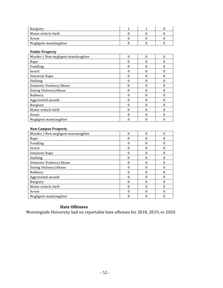| <b>Burglary</b>        |  |  |
|------------------------|--|--|
| Motor vehicle theft    |  |  |
| Arson                  |  |  |
| Negligent manslaughter |  |  |

#### **Public Property**

| Murder / Non-negligent manslaughter | 0 | $\Omega$ | O |
|-------------------------------------|---|----------|---|
| Rape                                |   |          |   |
| Fondling                            |   |          |   |
| Incest                              |   |          | O |
| <b>Statutory Rape</b>               |   |          |   |
| <b>Stalking</b>                     |   |          |   |
| Domestic Violence/Abuse             |   |          |   |
| Dating Violence/Abuse               |   |          |   |
| Robbery                             |   |          | O |
| Aggravated assault                  |   |          |   |
| <b>Burglary</b>                     |   |          |   |
| Motor vehicle theft                 |   |          | በ |
| Arson                               |   |          |   |
| Negligent manslaughter              |   |          |   |

#### **Non-Campus Property**

| Murder / Non-negligent manslaughter |   |  |
|-------------------------------------|---|--|
| Rape                                |   |  |
| Fondling                            |   |  |
| Incest                              |   |  |
| <b>Statutory Rape</b>               |   |  |
| <b>Stalking</b>                     | U |  |
| Domestic Violence/Abuse             |   |  |
| Dating Violence/Abuse               |   |  |
| Robbery                             |   |  |
| Aggravated assault                  |   |  |
| <b>Burglary</b>                     |   |  |
| Motor vehicle theft                 |   |  |
| Arson                               |   |  |
| Negligent manslaughter              |   |  |

## **Hate Offenses**

Morningside University had no reportable hate offenses for 2018, 2019, or 2020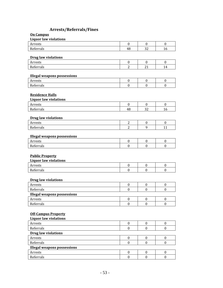## **Arrests/Referrals/Fines**

| On Campus |  |
|-----------|--|
|           |  |

| <b>Liquor law violations</b><br>Arrests                | $\mathbf{0}$     |                  | $\boldsymbol{0}$ |
|--------------------------------------------------------|------------------|------------------|------------------|
|                                                        |                  | $\boldsymbol{0}$ |                  |
| Referrals                                              | 48               | 32               | 16               |
| <b>Drug law violations</b>                             |                  |                  |                  |
| Arrests                                                | $\boldsymbol{0}$ | $\boldsymbol{0}$ | $\mathbf{0}$     |
| Referrals                                              | $\overline{2}$   | 21               | 14               |
| <b>Illegal weapons possessions</b>                     |                  |                  |                  |
| Arrests                                                | $\boldsymbol{0}$ | $\boldsymbol{0}$ | $\boldsymbol{0}$ |
| Referrals                                              | $\boldsymbol{0}$ | $\theta$         | $\theta$         |
| <b>Residence Halls</b><br><b>Liquor law violations</b> |                  |                  |                  |
| Arrests                                                | $\boldsymbol{0}$ | $\mathbf{0}$     | $\boldsymbol{0}$ |
| Referrals                                              | 48               | 32               | 16               |
| <b>Drug law violations</b><br>Arrests                  | $\overline{2}$   | $\boldsymbol{0}$ | $\mathbf{0}$     |
| Referrals                                              | $\overline{2}$   | 9                | 11               |
| <b>Illegal weapons possessions</b>                     |                  |                  |                  |
| Arrests                                                | $\boldsymbol{0}$ | 0                | 0                |
| Referrals                                              | $\mathbf{0}$     | $\mathbf{0}$     | $\mathbf{0}$     |
| <b>Public Property</b><br><b>Liquor law violations</b> |                  |                  |                  |
| Arrests                                                | $\boldsymbol{0}$ | $\boldsymbol{0}$ | 0                |
| Referrals                                              | $\boldsymbol{0}$ | $\mathbf{0}$     | $\boldsymbol{0}$ |
| <b>Drug law violations</b>                             |                  |                  |                  |
| Arrests                                                | 0                | $\boldsymbol{0}$ | 0                |
| Referrals                                              | $\boldsymbol{0}$ | $\mathbf{0}$     | $\mathbf{0}$     |
| <b>Illegal weapons possessions</b>                     |                  |                  |                  |
| Arrests                                                | $\boldsymbol{0}$ | $\boldsymbol{0}$ | $\boldsymbol{0}$ |
| Referrals                                              | $\boldsymbol{0}$ | $\boldsymbol{0}$ | $\boldsymbol{0}$ |

| <b>Liquor law violations</b>       |  |  |
|------------------------------------|--|--|
| Arrests                            |  |  |
| Referrals                          |  |  |
| <b>Drug law violations</b>         |  |  |
| Arrests                            |  |  |
| Referrals                          |  |  |
| <b>Illegal weapons possessions</b> |  |  |
| Arrests                            |  |  |
| Referrals                          |  |  |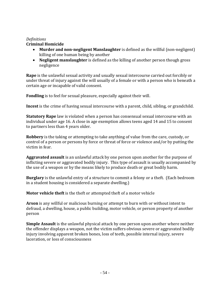#### *Definitions*

#### **Criminal Homicide**

- **Murder and non-negligent Manslaughter** is defined as the willful (non-negligent) killing of one human being by another
- **Negligent manslaughter** is defined as the killing of another person though gross negligence

**Rape** is the unlawful sexual activity and usually sexual intercourse carried out forcibly or under threat of injury against the will usually of a female or with a person who is beneath a certain age or incapable of valid consent.

**Fondling** is to feel for sexual pleasure, especially against their will.

**Incest** is the crime of having sexual intercourse with a parent, child, sibling, or grandchild.

**Statutory Rape** law is violated when a person has consensual sexual intercourse with an individual under age 16. A close in age exemption allows teens aged 14 and 15 to consent to partners less than 4 years older.

**Robbery** is the taking or attempting to take anything of value from the care, custody, or control of a person or persons by force or threat of force or violence and/or by putting the victim in fear.

**Aggravated assault** is an unlawful attack by one person upon another for the purpose of inflicting severe or aggravated bodily injury. This type of assault is usually accompanied by the use of a weapon or by the means likely to produce death or great bodily harm.

**Burglary** is the unlawful entry of a structure to commit a felony or a theft. (Each bedroom in a student housing is considered a separate dwelling.)

**Motor vehicle theft** is the theft or attempted theft of a motor vehicle

**Arson** is any willful or malicious burning or attempt to burn with or without intent to defraud, a dwelling, house, a public building, motor vehicle, or person property of another person

**Simple Assault** is the unlawful physical attack by one person upon another where neither the offender displays a weapon, not the victim suffers obvious severe or aggravated bodily injury involving apparent broken bones, loss of teeth, possible internal injury, severe laceration, or loss of consciousness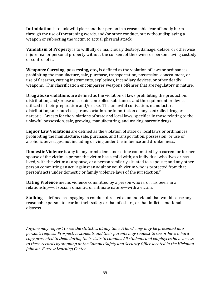**Intimidation** is to unlawful place another person in a reasonable fear of bodily harm through the use of threatening words, and/or other conduct, but without displaying a weapon or subjecting the victim to actual physical attack.

**Vandalism of Property** is to willfully or maliciously destroy, damage, deface, or otherwise injure real or personal property without the consent of the owner or person having custody or control of it.

**Weapons: Carrying, possessing, etc.,** is defined as the violation of laws or ordinances prohibiting the manufacture, sale, purchase, transportation, possession, concealment, or use of firearms, cutting instruments, explosives, incendiary devices, or other deadly weapons. This classification encompasses weapons offenses that are regulatory in nature.

**Drug abuse violations** are defined as the violation of laws prohibiting the production, distribution, and/or use of certain controlled substances and the equipment or devices utilized in their preparation and/or use. The unlawful cultivation, manufacture, distribution, sale, purchase, transportation, or importation of any controlled drug or narcotic. Arrests for the violations of state and local laws, specifically those relating to the unlawful possession, sale, growing, manufacturing, and making narcotic drugs.

**Liquor Law Violations** are defined as the violation of state or local laws or ordinances prohibiting the manufacture, sale, purchase, and transportation, possession, or use of alcoholic beverages, not including driving under the influence and drunkenness.

**Domestic Violence** is any felony or misdemeanor crime committed by a current or former spouse of the victim; a person the victim has a child with; an individual who lives or has lived, with the victim as a spouse, or a person similarly situated to a spouse; and any other person committing an act "against an adult or youth victim who is protected from that person's acts under domestic or family violence laws of the jurisdiction."

**Dating Violence** means violence committed by a person who is, or has been, in a relationship—of social, romantic, or intimate nature—with a victim.

**Stalking** is defined as engaging in conduct directed at an individual that would cause any reasonable person to fear for their safety or that of others, or that inflicts emotional distress.

*Anyone may request to see the statistics at any time. A hard copy may be presented at a person's request. Prospective students and their parents may request to see or have a hard copy presented to them during their visits to campus. All students and employees have access to these records by stopping at the Campus Safety and Security Office located in the Hickman-Johnson-Furrow Learning Center.*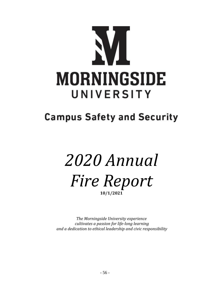

## **Campus Safety and Security**

# *2020 Annual Fire Report* **10/1/2021**

*The Morningside University experience cultivates a passion for life-long learning and a dedication to ethical leadership and civic responsibility*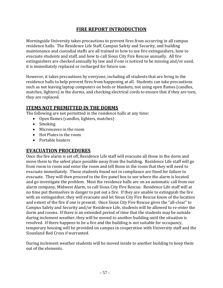## **FIRE REPORT INTRODUCTION**

Morningside University takes precautions to prevent fires from occurring in all campus residence halls. The Residence Life Staff, Campus Safety and Security, and building maintenance and custodial staffs are all trained in how to use fire extinguishers, how to evacuate students and staff, and how to call Sioux City Fire Rescue annually. All fire extinguishers are checked annually by law and if one is noticed to be missing and/or used, it is immediately replaced or recharged for future use.

However, it takes precautions by everyone, including all students that are living in the residence halls to help prevent fires from happening at all. Students can take precautions such as not leaving laptop computers on beds or blankets, not using open flames (candles, matches, lighters) in the dorms, and checking electrical cords to ensure that if they are torn, they are replaced.

## **ITEMS NOT PREMITTED IN THE DORMS**

The following are not permitted in the residence halls at any time:

- Open flames (candles, lighters, matches)
- Smoking
- Microwaves in the room
- Hot Plates in the room
- Portable heaters

#### **EVACUATION PROCEDURES**

Once the fire alarm is set off, Residence Life staff will evacuate all those in the dorm and move them to the safest place possible away from the building. Residence Life staff will go from room to room and enter the room and tell those in the room that they will need to evacuate immediately. Those students found not in compliance are fined for failure to evacuate. They will then proceed to the fire panel box to see where the alarm is located and go investigate the problem. Most the residence halls are on an automatic call from our alarm company, Midwest Alarm, to call Sioux City Fire Rescue. Residence Life staff will at no time put themselves in danger to put out a fire. If they are unable to extinguish the fire with an extinguisher, they will evacuate and let Sioux City Fire Rescue know of the location and extent of the fire if one is present. Once Sioux City Fire Rescue gives the "all-clear" to Campus Safety and Security and/or Residence Life, students will be allowed to re-enter the dorm and rooms. If there is an extended period of time that the students may be outside during inclement weather, they will be moved to another building until the situation is resolved. If there happens to be a fire and the building is not suitable for occupancy, temporary housing will be provided on campus in cooperation with University staff and the Siouxland Red Cross if warranted.

During inclement weather students will be moved inside to another building to keep them out of the elements.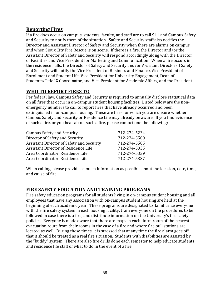## **Reporting Fires**

If a fire does occur on campus, students, faculty, and staff are to call 911 and Campus Safety and Security to notify them of the situation. Safety and Security staff also notifies the Director and Assistant Director of Safety and Security when there are alarms on campus and when Sioux City Fire Rescue is on scene. If there is a fire, the Director and/or the Assistant Director of Safety and Security will respond accordingly along with the Director of Facilities and Vice President for Marketing and Communication. When a fire occurs in the residence halls, the Director of Safety and Security and/or Assistant Director of Safety and Security will notify the Vice President of Business and Finance, Vice President of Enrollment and Student Life, Vice President for University Engagement, Dean of Students/Title IX Coordinator, and Vice President for Academic Affairs, and the President.

## **WHO TO REPORT FIRES TO**

Per federal law, Campus Safety and Security is required to annually disclose statistical data on all fires that occur in on-campus student housing facilities. Listed below are the nonemergency numbers to call to report fires that have already occurred and been extinguished in on-campus housing. These are fires for which you are unsure whether Campus Safety and Security or Residence Life may already be aware. If you find evidence of such a fire, or you hear about such a fire, please contact one the following:

| <b>Campus Safety and Security</b>         | 712-274-5234 |
|-------------------------------------------|--------------|
| Director of Safety and Security           | 712-274-5500 |
| Assistant Director of Safety and Security | 712-274-5505 |
| Assistant Director of Residence Life      | 712-274-5335 |
| Area Coordinator, Residence Life          | 712-274-5339 |
| Area Coordinator, Residence Life          | 712-274-5337 |

When calling, please provide as much information as possible about the location, date, time, and cause of fire.

## **FIRE SAFETY EDUCATION AND TRAINING PROGRAMS**

Fire safety education programs for all students living in on-campus student housing and all employees that have any association with on-campus student housing are held at the beginning of each academic year. These programs are designated to familiarize everyone with the fire safety system in each housing facility, train everyone on the procedures to be followed in case there is a fire, and distribute information on the University's fire safety policies. Everyone is made aware that there are maps in each dorm room of the nearest evacuation route from their rooms in the case of a fire and where fire pull stations are located as well. During these times, it is stressed that at any time the fire alarm goes off that it should be treated as a real fire situation. Students with disabilities are assisted by the "buddy" system. There are also fire drills done each semester to help educate students and residence life staff of what to do in the event of a fire.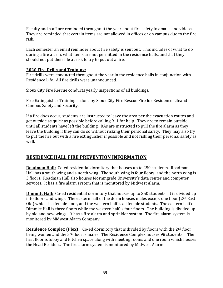Faculty and staff are reminded throughout the year about fire safety in emails and videos. They are reminded that certain items are not allowed in offices or on campus due to the fire risk.

Each semester an email reminder about fire safety is sent out. This includes of what to do during a fire alarm, what items are not permitted in the residence halls, and that they should not put their life at risk to try to put out a fire.

#### **2020 Fire Drills and Training:**

Fire drills were conducted throughout the year in the residence halls in conjunction with Residence Life. All fire drills were unannounced.

Sioux City Fire Rescue conducts yearly inspections of all buildings.

Fire Extinguisher Training is done by Sioux City Fire Rescue Fire for Residence Lifeand Campus Safety and Security.

If a fire does occur, students are instructed to leave the area per the evacuation routes and get outside as quick as possible before calling 911 for help. They are to remain outside until all students have left the building. RAs are instructed to pull the fire alarm as they leave the building if they can do so without risking their personal safety. They may also try to put the fire out with a fire extinguisher if possible and not risking their personal safety as well.

## **RESIDENCE HALL FIRE PREVENTION INFORMATION**

**Roadman Hall:** Co-ed residential dormitory that houses up to 250 students. Roadman Hall has a south wing and a north wing. The south wing is four floors, and the north wing is 3 floors. Roadman Hall also houses Morningside University's data center and computer services. It has a fire alarm system that is monitored by Midwest Alarm.

**Dimmitt Hall:** Co-ed residential dormitory that houses up to 350 students. It is divided up into floors and wings. The eastern half of the dorm houses males except one floor (2nd East Old) which is a female floor, and the western half is all female students. The eastern half of Dimmitt Hall is three floors while the western half is four floors. The building is divided up by old and new wings. It has a fire alarm and sprinkler system. The fire alarm system is monitored by Midwest Alarm Company.

Residence Complex (Plex): Co-ed dormitory that is divided by floors with the 2<sup>nd</sup> floor being women and the 3rd floor is males. The Residence Complex houses 98 students. The first floor is lobby and kitchen space along with meeting rooms and one room which houses the Head Resident. The fire alarm system is monitored by Midwest Alarm.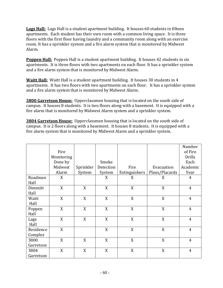**Lags Hall:** Lags Hall is a student apartment building. It houses 60 students in fifteen apartments. Each student has their own room with a common living space. It is three floors with the first floor having laundry and a community room along with an exercise room. It has a sprinkler system and a fire alarm system that is monitored by Midwest Alarm.

**Poppen Hall:** Poppen Hall is a student apartment building. It houses 42 students in six apartments. It is three floors with two apartments on each floor. It has a sprinkler system and a fire alarm system that is monitored by Midwest Alarm.

**Waitt Hall:** Waitt Hall is a student apartment building. It houses 30 students in 4 apartments. It has two floors with two apartments on each floor. It has a sprinkler system and a fire alarm system that is monitored by Midwest Alarm.

**3800 Garretson House:** Upperclassmen housing that is located on the south side of campus. It houses 8 students. It is two floors along with a basement. It is equipped with a fire alarm that is monitored by Midwest Alarm system and a sprinkler system.

**3804 Garretson House:** Upperclassmen housing that is located on the south side of campus. It is 2 floors along with a basement. It houses 8 students. It is equipped with a fire alarm system that is monitored by Midwest Alarm and a sprinkler system.

|           |            |           |           |               |                | Number         |
|-----------|------------|-----------|-----------|---------------|----------------|----------------|
|           | Fire       |           |           |               |                | of Fire        |
|           | Monitoring |           |           |               |                | <b>Drills</b>  |
|           | Done by    |           | Smoke     |               |                | Each           |
|           | Midwest    | Sprinkler | Detection | Fire          | Evacuation     | Academic       |
|           | Alarm      | System    | System    | Extinguishers | Plans/Placards | Year           |
| Roadman   | X          |           | X         | X             | X              | $\overline{4}$ |
| Hall      |            |           |           |               |                |                |
| Dimmitt   | X          | X         | X         | X             | X              | $\overline{4}$ |
| Hall      |            |           |           |               |                |                |
| Waitt     | X          | X         | X         | X             | X              | $\overline{4}$ |
| Hall      |            |           |           |               |                |                |
| Poppen    | X          | X         | X         | X             | X              | $\overline{4}$ |
| Hall      |            |           |           |               |                |                |
| Lags      | X          | X         | X         | X             | X              | $\overline{4}$ |
| Hall      |            |           |           |               |                |                |
| Residence | X          |           | X         | X             | X              | $\overline{4}$ |
| Complex   |            |           |           |               |                |                |
| 3800      | X          | X         | X         | X             | X              | $\overline{4}$ |
| Garretson |            |           |           |               |                |                |
| 3804      | X          | X         | X         | X             | X              | $\overline{4}$ |
| Garretson |            |           |           |               |                |                |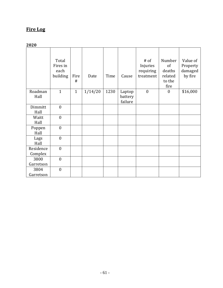## **Fire Log**

## **2020**

|                      | Total<br>Fires in<br>each<br>building | Fire<br>#    | Date    | Time | Cause                        | $#$ of<br>Injuries<br>requiring<br>treatment | Number<br>of<br>deaths<br>related<br>to the<br>fire | Value of<br>Property<br>damaged<br>by fire |
|----------------------|---------------------------------------|--------------|---------|------|------------------------------|----------------------------------------------|-----------------------------------------------------|--------------------------------------------|
| Roadman<br>Hall      | $\mathbf{1}$                          | $\mathbf{1}$ | 1/14/20 | 1230 | Laptop<br>battery<br>failure | $\boldsymbol{0}$                             | $\boldsymbol{0}$                                    | \$16,000                                   |
| Dimmitt<br>Hall      | $\mathbf{0}$                          |              |         |      |                              |                                              |                                                     |                                            |
| Waitt<br>Hall        | $\mathbf{0}$                          |              |         |      |                              |                                              |                                                     |                                            |
| Poppen<br>Hall       | $\boldsymbol{0}$                      |              |         |      |                              |                                              |                                                     |                                            |
| Lags<br>Hall         | $\boldsymbol{0}$                      |              |         |      |                              |                                              |                                                     |                                            |
| Residence<br>Complex | $\mathbf{0}$                          |              |         |      |                              |                                              |                                                     |                                            |
| 3800<br>Garretson    | $\mathbf{0}$                          |              |         |      |                              |                                              |                                                     |                                            |
| 3804<br>Garretson    | $\mathbf{0}$                          |              |         |      |                              |                                              |                                                     |                                            |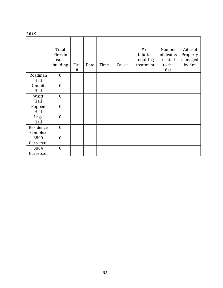#### **2019**

|                      | Total<br>Fires in<br>each<br>building | Fire<br># | Date | Time | Cause | $#$ of<br>Injuries<br>requiring<br>treatment | Number<br>of deaths<br>related<br>to the<br>fire | Value of<br>Property<br>damaged<br>by fire |
|----------------------|---------------------------------------|-----------|------|------|-------|----------------------------------------------|--------------------------------------------------|--------------------------------------------|
| Roadman<br>Hall      | $\boldsymbol{0}$                      |           |      |      |       |                                              |                                                  |                                            |
| Dimmitt<br>Hall      | $\boldsymbol{0}$                      |           |      |      |       |                                              |                                                  |                                            |
| Waitt<br>Hall        | $\boldsymbol{0}$                      |           |      |      |       |                                              |                                                  |                                            |
| Poppen<br>Hall       | $\boldsymbol{0}$                      |           |      |      |       |                                              |                                                  |                                            |
| Lags<br>Hall         | $\boldsymbol{0}$                      |           |      |      |       |                                              |                                                  |                                            |
| Residence<br>Complex | $\mathbf{0}$                          |           |      |      |       |                                              |                                                  |                                            |
| 3800<br>Garretson    | $\boldsymbol{0}$                      |           |      |      |       |                                              |                                                  |                                            |
| 3804<br>Garretson    | $\mathbf{0}$                          |           |      |      |       |                                              |                                                  |                                            |